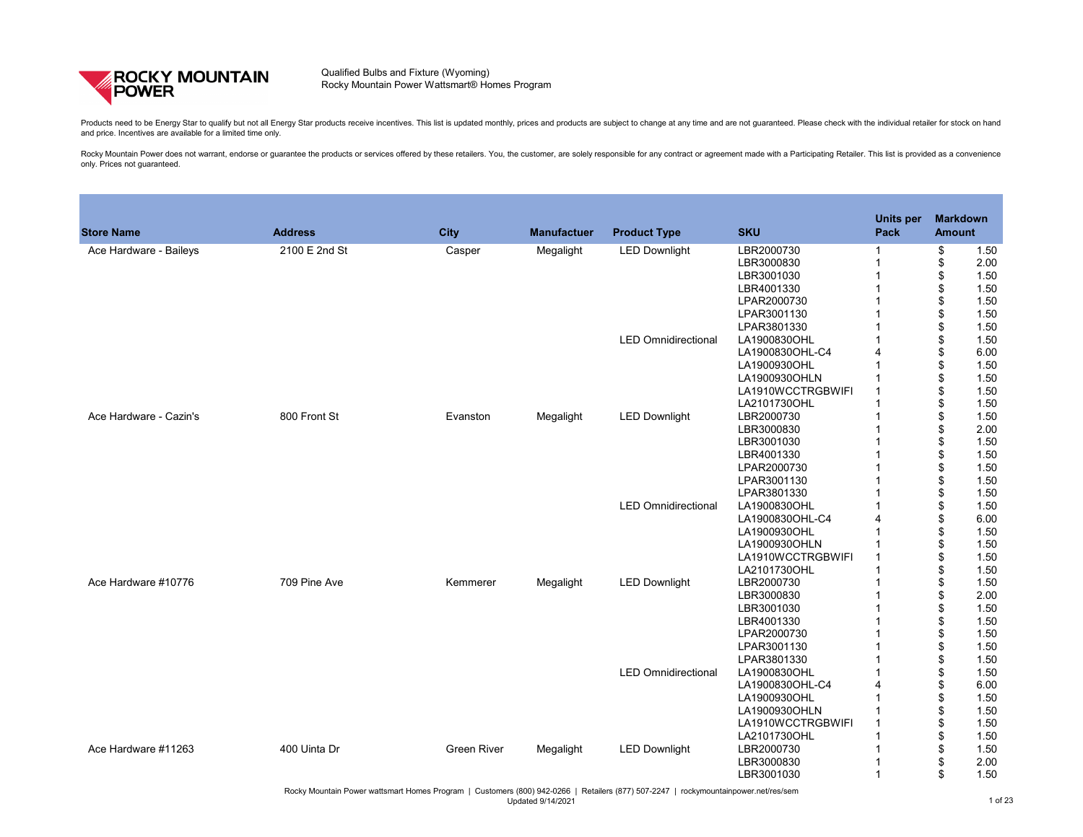| <b>Store Name</b>      | <b>Address</b> | <b>City</b>        | <b>Manufactuer</b> | <b>Product Type</b>        | <b>SKU</b>        | <b>Units per</b><br><b>Pack</b> | <b>Markdown</b><br><b>Amount</b> |      |
|------------------------|----------------|--------------------|--------------------|----------------------------|-------------------|---------------------------------|----------------------------------|------|
| Ace Hardware - Baileys | 2100 E 2nd St  | Casper             | Megalight          | <b>LED Downlight</b>       | LBR2000730        |                                 | \$                               | 1.50 |
|                        |                |                    |                    |                            | LBR3000830        |                                 | \$                               | 2.00 |
|                        |                |                    |                    |                            | LBR3001030        |                                 |                                  | 1.50 |
|                        |                |                    |                    |                            | LBR4001330        |                                 |                                  | 1.50 |
|                        |                |                    |                    |                            | LPAR2000730       |                                 |                                  | 1.50 |
|                        |                |                    |                    |                            | LPAR3001130       |                                 |                                  | 1.50 |
|                        |                |                    |                    |                            | LPAR3801330       |                                 |                                  | 1.50 |
|                        |                |                    |                    | <b>LED Omnidirectional</b> | LA1900830OHL      |                                 |                                  | 1.50 |
|                        |                |                    |                    |                            | LA1900830OHL-C4   |                                 |                                  | 6.00 |
|                        |                |                    |                    |                            | LA1900930OHL      |                                 |                                  | 1.50 |
|                        |                |                    |                    |                            | LA1900930OHLN     |                                 |                                  | 1.50 |
|                        |                |                    |                    |                            | LA1910WCCTRGBWIFI |                                 |                                  | 1.50 |
|                        |                |                    |                    |                            | LA2101730OHL      |                                 |                                  | 1.50 |
| Ace Hardware - Cazin's | 800 Front St   | Evanston           | Megalight          | <b>LED Downlight</b>       | LBR2000730        |                                 |                                  | 1.50 |
|                        |                |                    |                    |                            | LBR3000830        |                                 |                                  | 2.00 |
|                        |                |                    |                    |                            | LBR3001030        |                                 |                                  | 1.50 |
|                        |                |                    |                    |                            | LBR4001330        |                                 |                                  | 1.50 |
|                        |                |                    |                    |                            | LPAR2000730       |                                 |                                  | 1.50 |
|                        |                |                    |                    |                            | LPAR3001130       |                                 |                                  | 1.50 |
|                        |                |                    |                    |                            | LPAR3801330       |                                 |                                  | 1.50 |
|                        |                |                    |                    | <b>LED Omnidirectional</b> | LA1900830OHL      |                                 |                                  | 1.50 |
|                        |                |                    |                    |                            | LA1900830OHL-C4   |                                 |                                  | 6.00 |
|                        |                |                    |                    |                            | LA1900930OHL      |                                 |                                  | 1.50 |
|                        |                |                    |                    |                            | LA1900930OHLN     |                                 |                                  | 1.50 |
|                        |                |                    |                    |                            | LA1910WCCTRGBWIFI |                                 |                                  | 1.50 |
|                        |                |                    |                    |                            | LA2101730OHL      |                                 |                                  | 1.50 |
| Ace Hardware #10776    | 709 Pine Ave   | Kemmerer           | Megalight          | <b>LED Downlight</b>       | LBR2000730        |                                 |                                  | 1.50 |
|                        |                |                    |                    |                            | LBR3000830        |                                 |                                  | 2.00 |
|                        |                |                    |                    |                            | LBR3001030        |                                 | \$                               | 1.50 |
|                        |                |                    |                    |                            | LBR4001330        |                                 |                                  | 1.50 |
|                        |                |                    |                    |                            | LPAR2000730       |                                 |                                  | 1.50 |
|                        |                |                    |                    |                            | LPAR3001130       |                                 |                                  | 1.50 |
|                        |                |                    |                    |                            | LPAR3801330       |                                 |                                  | 1.50 |
|                        |                |                    |                    | <b>LED Omnidirectional</b> | LA1900830OHL      |                                 |                                  | 1.50 |
|                        |                |                    |                    |                            | LA1900830OHL-C4   |                                 |                                  | 6.00 |
|                        |                |                    |                    |                            | LA1900930OHL      |                                 |                                  | 1.50 |
|                        |                |                    |                    |                            | LA1900930OHLN     |                                 |                                  | 1.50 |
|                        |                |                    |                    |                            | LA1910WCCTRGBWIFI |                                 |                                  | 1.50 |
|                        |                |                    |                    |                            | LA2101730OHL      |                                 |                                  | 1.50 |
| Ace Hardware #11263    | 400 Uinta Dr   | <b>Green River</b> | Megalight          | <b>LED Downlight</b>       | LBR2000730        |                                 |                                  | 1.50 |
|                        |                |                    |                    |                            | LBR3000830        |                                 |                                  | 2.00 |
|                        |                |                    |                    |                            | LBR3001030        |                                 |                                  | 1.50 |

Products need to be Energy Star to qualify but not all Energy Star products receive incentives. This list is updated monthly, prices and products are subject to change at any time and are not guaranteed. Please check with and price. Incentives are available for a limited time only.

Rocky Mountain Power does not warrant, endorse or guarantee the products or services offered by these retailers. You, the customer, are solely responsible for any contract or agreement made with a Participating Retailer. T only. Prices not guaranteed.



Qualified Bulbs and Fixture (Wyoming) Rocky Mountain Power Wattsmart® Homes Program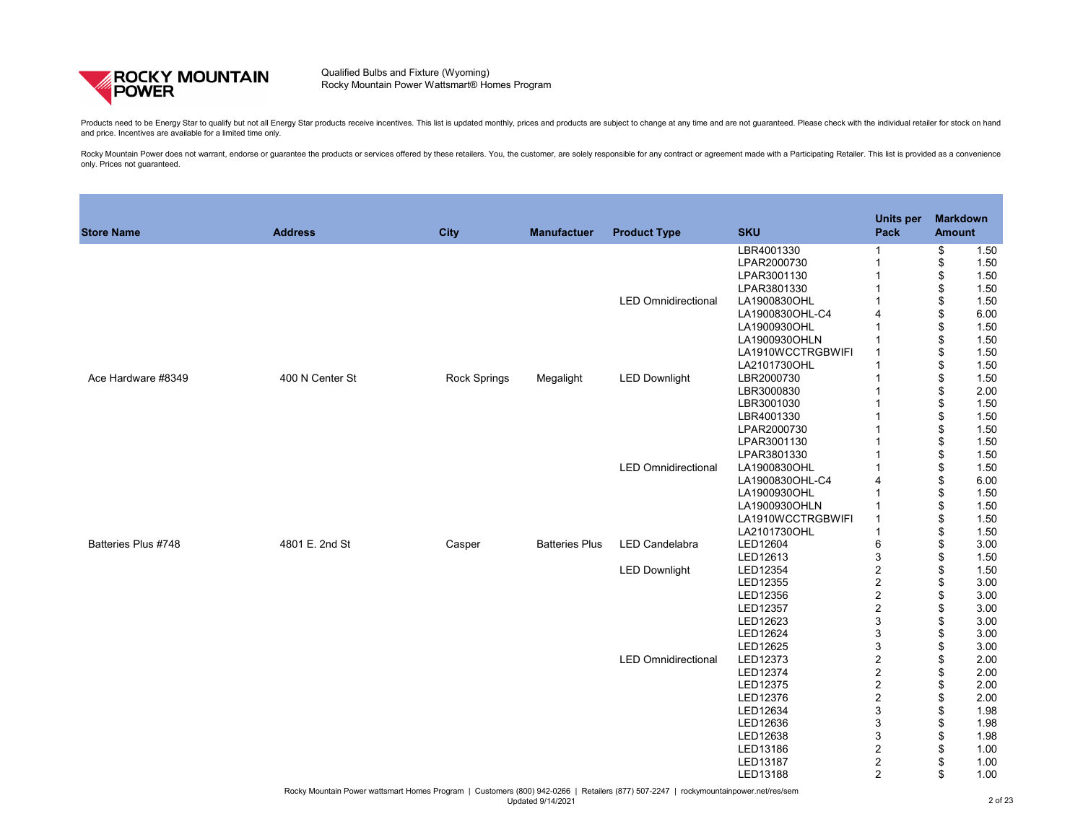

Products need to be Energy Star to qualify but not all Energy Star products receive incentives. This list is updated monthly, prices and products are subject to change at any time and are not guaranteed. Please check with and price. Incentives are available for a limited time only.

| <b>Store Name</b>   | <b>Address</b>  | <b>City</b>                                                                                                                         | <b>Manufactuer</b>    | <b>Product Type</b>        | <b>SKU</b>        | <b>Units per</b><br><b>Pack</b> | <b>Markdown</b><br><b>Amount</b> |         |
|---------------------|-----------------|-------------------------------------------------------------------------------------------------------------------------------------|-----------------------|----------------------------|-------------------|---------------------------------|----------------------------------|---------|
|                     |                 |                                                                                                                                     |                       |                            | LBR4001330        |                                 | \$                               | 1.50    |
|                     |                 |                                                                                                                                     |                       |                            | LPAR2000730       |                                 | $\mathfrak{S}$                   | 1.50    |
|                     |                 |                                                                                                                                     |                       |                            | LPAR3001130       |                                 | \$                               | 1.50    |
|                     |                 |                                                                                                                                     |                       |                            | LPAR3801330       |                                 |                                  | 1.50    |
|                     |                 |                                                                                                                                     |                       | <b>LED Omnidirectional</b> | LA1900830OHL      |                                 |                                  | 1.50    |
|                     |                 |                                                                                                                                     |                       |                            | LA1900830OHL-C4   |                                 | \$                               | 6.00    |
|                     |                 |                                                                                                                                     |                       |                            | LA1900930OHL      |                                 |                                  | 1.50    |
|                     |                 |                                                                                                                                     |                       |                            | LA1900930OHLN     |                                 |                                  | 1.50    |
|                     |                 |                                                                                                                                     |                       |                            | LA1910WCCTRGBWIFI |                                 |                                  | 1.50    |
|                     |                 |                                                                                                                                     |                       |                            | LA2101730OHL      |                                 |                                  | 1.50    |
| Ace Hardware #8349  | 400 N Center St | <b>Rock Springs</b>                                                                                                                 | Megalight             | <b>LED Downlight</b>       | LBR2000730        |                                 | $\$\$                            | 1.50    |
|                     |                 |                                                                                                                                     |                       |                            | LBR3000830        |                                 | \$                               | 2.00    |
|                     |                 |                                                                                                                                     |                       |                            | LBR3001030        |                                 | \$                               | 1.50    |
|                     |                 |                                                                                                                                     |                       |                            | LBR4001330        |                                 |                                  | 1.50    |
|                     |                 |                                                                                                                                     |                       |                            | LPAR2000730       |                                 |                                  | 1.50    |
|                     |                 |                                                                                                                                     |                       |                            | LPAR3001130       |                                 | \$                               | 1.50    |
|                     |                 |                                                                                                                                     |                       |                            | LPAR3801330       |                                 |                                  | 1.50    |
|                     |                 |                                                                                                                                     |                       | <b>LED Omnidirectional</b> | LA1900830OHL      |                                 |                                  | 1.50    |
|                     |                 |                                                                                                                                     |                       |                            | LA1900830OHL-C4   | 4                               |                                  | 6.00    |
|                     |                 |                                                                                                                                     |                       |                            | LA1900930OHL      |                                 |                                  | 1.50    |
|                     |                 |                                                                                                                                     |                       |                            | LA1900930OHLN     |                                 |                                  | 1.50    |
|                     |                 |                                                                                                                                     |                       |                            | LA1910WCCTRGBWIFI |                                 |                                  | 1.50    |
|                     |                 |                                                                                                                                     |                       |                            | LA2101730OHL      |                                 |                                  | 1.50    |
| Batteries Plus #748 | 4801 E. 2nd St  | Casper                                                                                                                              | <b>Batteries Plus</b> | <b>LED Candelabra</b>      | LED12604          | 6                               |                                  | 3.00    |
|                     |                 |                                                                                                                                     |                       |                            | LED12613          | 3                               |                                  | 1.50    |
|                     |                 |                                                                                                                                     |                       | <b>LED Downlight</b>       | LED12354          | $\overline{2}$                  | \$                               | 1.50    |
|                     |                 |                                                                                                                                     |                       |                            | LED12355          | $\overline{2}$                  |                                  | 3.00    |
|                     |                 |                                                                                                                                     |                       |                            | LED12356          | $\overline{2}$                  |                                  | 3.00    |
|                     |                 |                                                                                                                                     |                       |                            | LED12357          | $\overline{2}$                  | \$                               | 3.00    |
|                     |                 |                                                                                                                                     |                       |                            | LED12623          | 3                               |                                  | 3.00    |
|                     |                 |                                                                                                                                     |                       |                            | LED12624          | 3                               | \$                               | 3.00    |
|                     |                 |                                                                                                                                     |                       |                            | LED12625          | $\mathfrak{S}$                  |                                  | 3.00    |
|                     |                 |                                                                                                                                     |                       | <b>LED Omnidirectional</b> | LED12373          | $\overline{c}$                  |                                  | 2.00    |
|                     |                 |                                                                                                                                     |                       |                            | LED12374          | $\overline{c}$                  |                                  | 2.00    |
|                     |                 |                                                                                                                                     |                       |                            | LED12375          | $\overline{c}$                  |                                  | 2.00    |
|                     |                 |                                                                                                                                     |                       |                            | LED12376          | $\mathbf 2$                     | \$                               | 2.00    |
|                     |                 |                                                                                                                                     |                       |                            | LED12634          | $\sqrt{3}$                      |                                  | 1.98    |
|                     |                 |                                                                                                                                     |                       |                            | LED12636          | $\sqrt{3}$                      |                                  | 1.98    |
|                     |                 |                                                                                                                                     |                       |                            | LED12638          | 3                               |                                  | 1.98    |
|                     |                 |                                                                                                                                     |                       |                            | LED13186          | $\overline{c}$                  |                                  | 1.00    |
|                     |                 |                                                                                                                                     |                       |                            | <b>LED13187</b>   | $\overline{c}$                  | \$                               | 1.00    |
|                     |                 |                                                                                                                                     |                       |                            | LED13188          | $\overline{2}$                  | $\boldsymbol{\mathsf{S}}$        | 1.00    |
|                     |                 | Rocky Mountain Power wattsmart Homes Program   Customers (800) 942-0266   Retailers (877) 507-2247   rockymountainpower.net/res/sem |                       |                            |                   |                                 |                                  |         |
|                     |                 |                                                                                                                                     | Updated 9/14/2021     |                            |                   |                                 |                                  | 2 of 23 |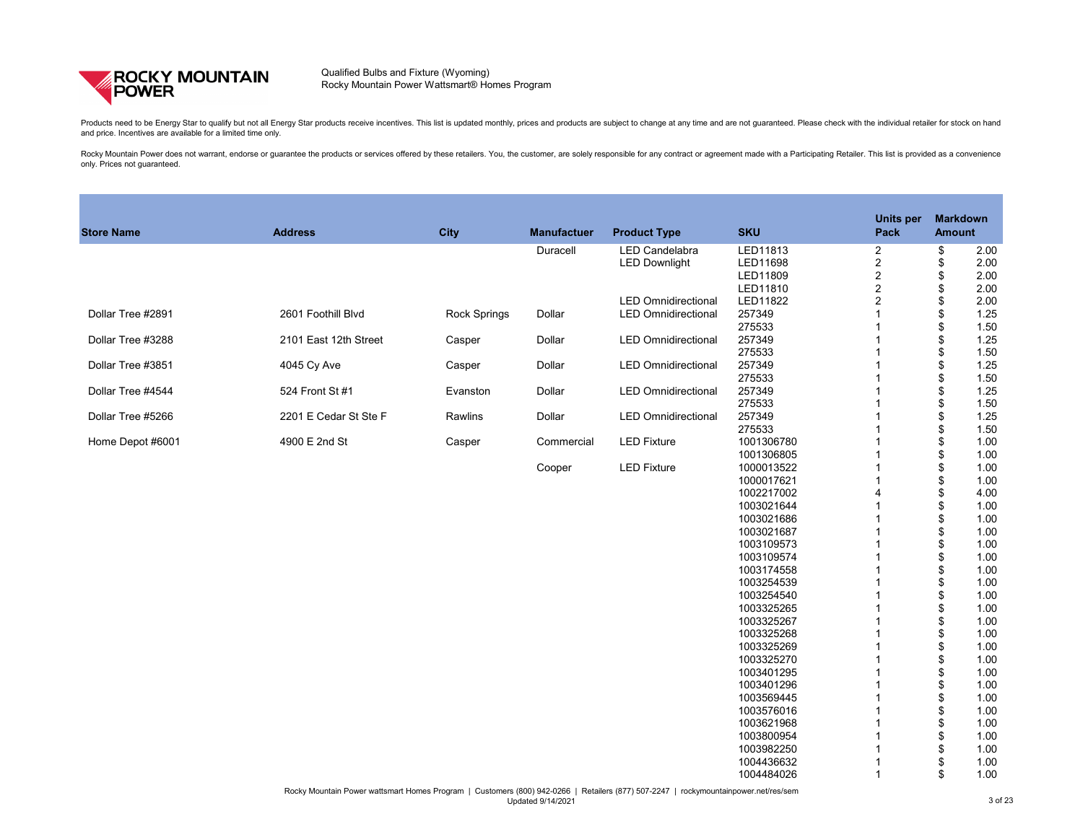

Products need to be Energy Star to qualify but not all Energy Star products receive incentives. This list is updated monthly, prices and products are subject to change at any time and are not guaranteed. Please check with and price. Incentives are available for a limited time only.

Rocky Mountain Power does not warrant, endorse or guarantee the products or services offered by these retailers. You, the customer, are solely responsible for any contract or agreement made with a Participating Retailer. T only. Prices not guaranteed.

| <b>Store Name</b> | <b>Address</b>        | <b>City</b>         | <b>Manufactuer</b> | <b>Product Type</b>        | <b>SKU</b> | <b>Units per</b><br><b>Pack</b> | <b>Amount</b> | <b>Markdown</b> |
|-------------------|-----------------------|---------------------|--------------------|----------------------------|------------|---------------------------------|---------------|-----------------|
|                   |                       |                     | <b>Duracell</b>    | <b>LED Candelabra</b>      | LED11813   | 2                               | \$            | 2.00            |
|                   |                       |                     |                    | <b>LED Downlight</b>       | LED11698   |                                 |               | 2.00            |
|                   |                       |                     |                    |                            | LED11809   |                                 |               | 2.00            |
|                   |                       |                     |                    |                            | LED11810   |                                 |               | 2.00            |
|                   |                       |                     |                    | <b>LED Omnidirectional</b> | LED11822   |                                 |               | 2.00            |
| Dollar Tree #2891 | 2601 Foothill Blvd    | <b>Rock Springs</b> | <b>Dollar</b>      | <b>LED Omnidirectional</b> | 257349     |                                 |               | 1.25            |
|                   |                       |                     |                    |                            | 275533     |                                 |               | 1.50            |
| Dollar Tree #3288 | 2101 East 12th Street | Casper              | Dollar             | <b>LED Omnidirectional</b> | 257349     |                                 |               | 1.25            |
|                   |                       |                     |                    |                            | 275533     |                                 |               | 1.50            |
| Dollar Tree #3851 | 4045 Cy Ave           | Casper              | <b>Dollar</b>      | <b>LED Omnidirectional</b> | 257349     |                                 |               | 1.25            |
|                   |                       |                     |                    |                            | 275533     |                                 |               | 1.50            |
| Dollar Tree #4544 | 524 Front St #1       | Evanston            | Dollar             | <b>LED Omnidirectional</b> | 257349     |                                 |               | 1.25            |
|                   |                       |                     |                    |                            | 275533     |                                 |               | 1.50            |
| Dollar Tree #5266 | 2201 E Cedar St Ste F | Rawlins             | <b>Dollar</b>      | <b>LED Omnidirectional</b> | 257349     |                                 |               | 1.25            |
|                   |                       |                     |                    |                            | 275533     |                                 |               | 1.50            |
| Home Depot #6001  | 4900 E 2nd St         | Casper              | Commercial         | <b>LED Fixture</b>         | 1001306780 |                                 |               | 1.00            |
|                   |                       |                     |                    |                            | 1001306805 |                                 |               | 1.00            |
|                   |                       |                     | Cooper             | <b>LED Fixture</b>         | 1000013522 |                                 |               | 1.00            |
|                   |                       |                     |                    |                            | 1000017621 |                                 |               | 1.00            |
|                   |                       |                     |                    |                            | 1002217002 |                                 |               | 4.00            |

|                            | <b>SKU</b>      | <b>Units per</b><br><b>Pack</b> | <b>Amount</b>    | <b>Markdown</b> |
|----------------------------|-----------------|---------------------------------|------------------|-----------------|
| roduct Type                |                 |                                 |                  |                 |
| <b>LED Candelabra</b>      | LED11813        | 2                               | \$               | 2.00            |
| <b>LED Downlight</b>       | LED11698        | $\overline{2}$                  | \$               | 2.00            |
|                            | LED11809        | $\overline{2}$                  | \$               | 2.00            |
|                            | LED11810        | $\overline{2}$                  | \$               | 2.00            |
| <b>LED Omnidirectional</b> | <b>LED11822</b> | $\overline{2}$                  |                  | 2.00            |
| <b>LED Omnidirectional</b> | 257349          | 1                               |                  | 1.25            |
|                            | 275533          | 1                               | <b>おおままままままま</b> | 1.50            |
| <b>LED Omnidirectional</b> | 257349          | 1                               |                  | 1.25            |
|                            | 275533          | 1                               |                  | 1.50            |
| <b>LED Omnidirectional</b> | 257349          | 1                               |                  | 1.25            |
|                            | 275533          | 1                               |                  | 1.50            |
| <b>LED Omnidirectional</b> | 257349          | 1                               |                  | 1.25            |
|                            | 275533          | 1                               |                  | 1.50            |
| <b>LED Omnidirectional</b> | 257349          | 1                               |                  | 1.25            |
|                            | 275533          | 1                               |                  | 1.50            |
| <b>LED Fixture</b>         | 1001306780      | 1                               |                  | 1.00            |
|                            | 1001306805      | 1                               |                  | 1.00            |
| <b>LED Fixture</b>         | 1000013522      | 1                               | \$\$\$           | 1.00            |
|                            | 1000017621      | 1                               |                  | 1.00            |
|                            | 1002217002      | 4                               | \$               | 4.00            |
|                            | 1003021644      | 1                               | \$\$\$\$         | 1.00            |
|                            | 1003021686      | 1                               |                  | 1.00            |
|                            | 1003021687      | 1                               |                  | 1.00            |
|                            | 1003109573      | 1                               |                  | 1.00            |
|                            | 1003109574      | 1                               | \$\$             | 1.00            |
|                            | 1003174558      | 1                               |                  | 1.00            |
|                            | 1003254539      | 1                               |                  | 1.00            |
|                            | 1003254540      | 1                               | \$               | 1.00            |
|                            | 1003325265      | 1                               | \$               | 1.00            |
|                            | 1003325267      | 1                               | \$               | 1.00            |
|                            | 1003325268      | 1                               | \$               | 1.00            |
|                            | 1003325269      | 1                               |                  | 1.00            |
|                            | 1003325270      | 1                               | \$<br>\$         | 1.00            |
|                            | 1003401295      | 1                               |                  | 1.00            |
|                            | 1003401296      | 1                               | \$\$             | 1.00            |
|                            | 1003569445      | 1                               |                  | 1.00            |
|                            | 1003576016      | 1                               |                  | 1.00            |
|                            | 1003621968      | 1                               | \$               | 1.00            |
|                            | 1003800954      | 1                               |                  | 1.00            |
|                            | 1003982250      | 1                               | \$               | 1.00            |
|                            | 1004436632      | 1                               | \$               | 1.00            |
|                            | 1004484026      | 1                               | \$               | 1.00            |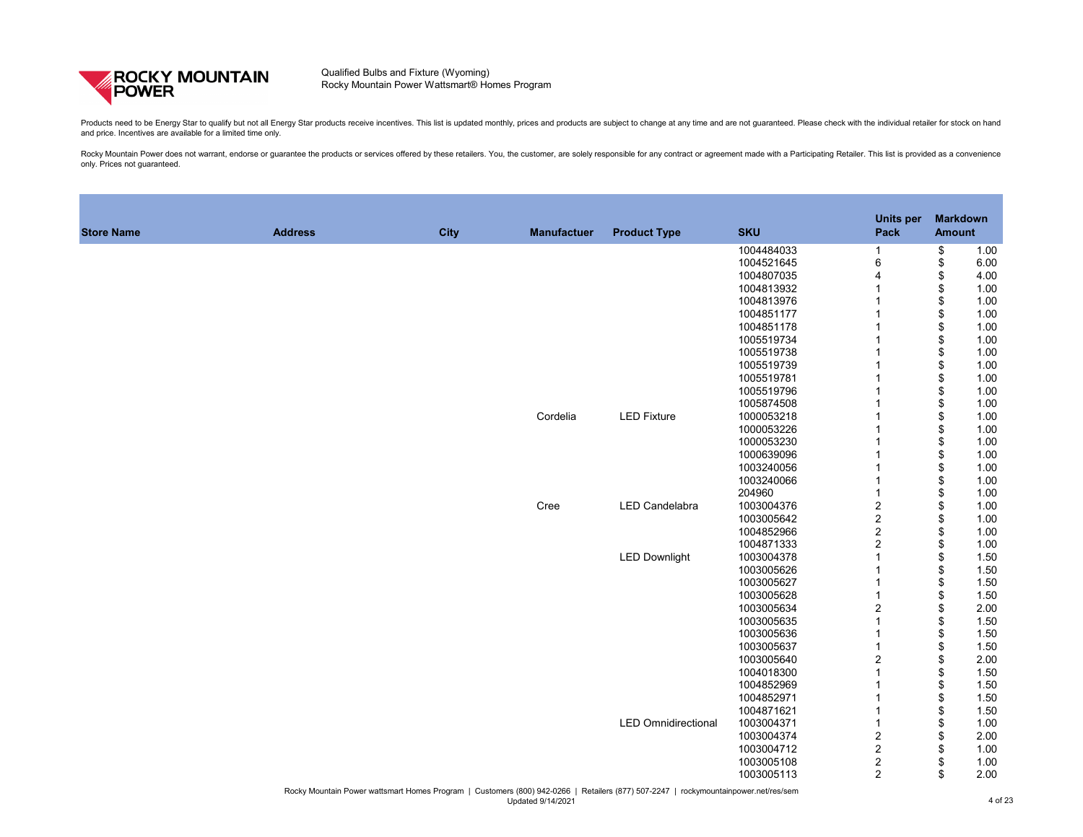

Products need to be Energy Star to qualify but not all Energy Star products receive incentives. This list is updated monthly, prices and products are subject to change at any time and are not guaranteed. Please check with and price. Incentives are available for a limited time only.

| <b>Store Name</b> | <b>Address</b> | <b>City</b> | <b>Manufactuer</b> | <b>Product Type</b>                                                                                                                 | <b>SKU</b> | <b>Units per</b><br><b>Pack</b> | <b>Amount</b>              | <b>Markdown</b> |
|-------------------|----------------|-------------|--------------------|-------------------------------------------------------------------------------------------------------------------------------------|------------|---------------------------------|----------------------------|-----------------|
|                   |                |             |                    |                                                                                                                                     | 1004484033 |                                 | \$                         | 1.00            |
|                   |                |             |                    |                                                                                                                                     | 1004521645 | $\,6$                           | $\boldsymbol{\theta}$      | 6.00            |
|                   |                |             |                    |                                                                                                                                     | 1004807035 | 4                               | \$                         | 4.00            |
|                   |                |             |                    |                                                                                                                                     | 1004813932 |                                 | \$                         | 1.00            |
|                   |                |             |                    |                                                                                                                                     | 1004813976 |                                 | \$                         | 1.00            |
|                   |                |             |                    |                                                                                                                                     | 1004851177 |                                 | \$                         | 1.00            |
|                   |                |             |                    |                                                                                                                                     | 1004851178 |                                 | \$                         | 1.00            |
|                   |                |             |                    |                                                                                                                                     | 1005519734 |                                 | \$                         | 1.00            |
|                   |                |             |                    |                                                                                                                                     | 1005519738 |                                 | \$                         | 1.00            |
|                   |                |             |                    |                                                                                                                                     | 1005519739 |                                 | \$                         | 1.00            |
|                   |                |             |                    |                                                                                                                                     | 1005519781 |                                 | \$                         | 1.00            |
|                   |                |             |                    |                                                                                                                                     | 1005519796 |                                 | \$                         | 1.00            |
|                   |                |             |                    |                                                                                                                                     | 1005874508 |                                 | \$                         | 1.00            |
|                   |                |             | Cordelia           | <b>LED Fixture</b>                                                                                                                  | 1000053218 |                                 | \$                         | 1.00            |
|                   |                |             |                    |                                                                                                                                     | 1000053226 |                                 | \$                         | 1.00            |
|                   |                |             |                    |                                                                                                                                     | 1000053230 |                                 | \$                         | 1.00            |
|                   |                |             |                    |                                                                                                                                     | 1000639096 |                                 | \$                         | 1.00            |
|                   |                |             |                    |                                                                                                                                     | 1003240056 |                                 | \$                         | 1.00            |
|                   |                |             |                    |                                                                                                                                     | 1003240066 |                                 | \$                         | 1.00            |
|                   |                |             |                    |                                                                                                                                     | 204960     |                                 | \$                         | 1.00            |
|                   |                |             | Cree               | <b>LED Candelabra</b>                                                                                                               | 1003004376 | $\overline{c}$                  | \$                         | 1.00            |
|                   |                |             |                    |                                                                                                                                     | 1003005642 | $\overline{c}$                  | \$                         | 1.00            |
|                   |                |             |                    |                                                                                                                                     | 1004852966 | $\overline{2}$                  | $\boldsymbol{\theta}$      | 1.00            |
|                   |                |             |                    |                                                                                                                                     | 1004871333 | $\overline{2}$                  | \$                         | 1.00            |
|                   |                |             |                    | <b>LED Downlight</b>                                                                                                                | 1003004378 |                                 | \$                         | 1.50            |
|                   |                |             |                    |                                                                                                                                     | 1003005626 |                                 | $\boldsymbol{\mathsf{\$}}$ | 1.50            |
|                   |                |             |                    |                                                                                                                                     | 1003005627 |                                 |                            | 1.50            |
|                   |                |             |                    |                                                                                                                                     | 1003005628 |                                 | \$                         | 1.50            |
|                   |                |             |                    |                                                                                                                                     | 1003005634 | $\overline{2}$                  | \$                         | 2.00            |
|                   |                |             |                    |                                                                                                                                     | 1003005635 |                                 | \$                         | 1.50            |
|                   |                |             |                    |                                                                                                                                     | 1003005636 |                                 |                            | 1.50            |
|                   |                |             |                    |                                                                                                                                     | 1003005637 |                                 | \$                         | 1.50            |
|                   |                |             |                    |                                                                                                                                     | 1003005640 | $\overline{2}$                  | $\boldsymbol{\mathsf{\$}}$ | 2.00            |
|                   |                |             |                    |                                                                                                                                     | 1004018300 |                                 | \$                         | 1.50            |
|                   |                |             |                    |                                                                                                                                     | 1004852969 |                                 |                            | 1.50            |
|                   |                |             |                    |                                                                                                                                     | 1004852971 |                                 |                            | 1.50            |
|                   |                |             |                    |                                                                                                                                     | 1004871621 |                                 |                            | 1.50            |
|                   |                |             |                    | <b>LED Omnidirectional</b>                                                                                                          | 1003004371 |                                 | $\boldsymbol{\mathsf{\$}}$ | 1.00            |
|                   |                |             |                    |                                                                                                                                     | 1003004374 | $\overline{2}$                  | \$                         | 2.00            |
|                   |                |             |                    |                                                                                                                                     | 1003004712 | $\mathbf 2$                     | \$                         | 1.00            |
|                   |                |             |                    |                                                                                                                                     | 1003005108 | $\overline{c}$                  | \$                         | 1.00            |
|                   |                |             |                    |                                                                                                                                     | 1003005113 | $\overline{2}$                  | $\boldsymbol{\mathsf{S}}$  | 2.00            |
|                   |                |             | Updated 9/14/2021  | Rocky Mountain Power wattsmart Homes Program   Customers (800) 942-0266   Retailers (877) 507-2247   rockymountainpower.net/res/sem |            |                                 |                            | 4 of 23         |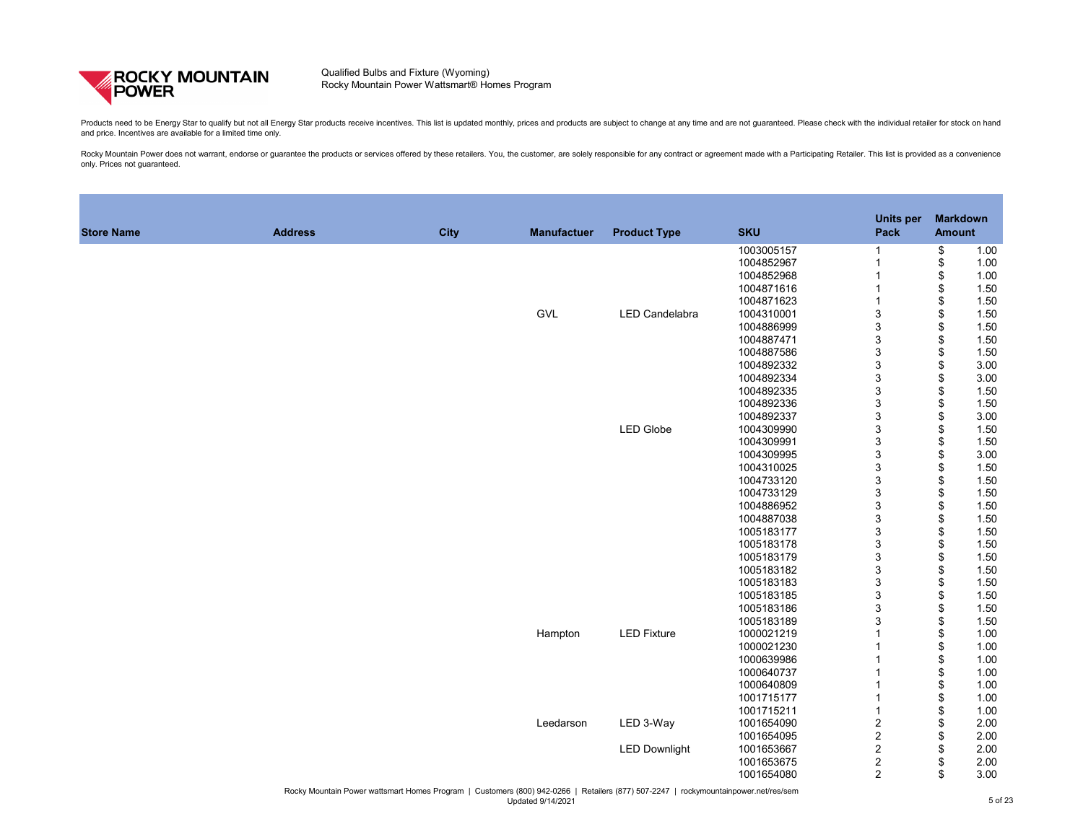

Products need to be Energy Star to qualify but not all Energy Star products receive incentives. This list is updated monthly, prices and products are subject to change at any time and are not guaranteed. Please check with and price. Incentives are available for a limited time only.

| <b>Store Name</b> | <b>Address</b> | <b>City</b> | <b>Manufactuer</b>                   | <b>Product Type</b>   | <b>SKU</b> | <b>Units per</b><br><b>Pack</b> | <b>Markdown</b><br><b>Amount</b> |      |
|-------------------|----------------|-------------|--------------------------------------|-----------------------|------------|---------------------------------|----------------------------------|------|
|                   |                |             |                                      |                       | 1003005157 |                                 | \$                               | 1.00 |
|                   |                |             |                                      |                       | 1004852967 |                                 | \$                               | 1.00 |
|                   |                |             |                                      |                       | 1004852968 |                                 | \$                               | 1.00 |
|                   |                |             |                                      |                       | 1004871616 |                                 |                                  | 1.50 |
|                   |                |             |                                      |                       | 1004871623 |                                 |                                  | 1.50 |
|                   |                |             | <b>GVL</b>                           | <b>LED Candelabra</b> | 1004310001 | $\mathfrak{S}$                  |                                  | 1.50 |
|                   |                |             |                                      |                       | 1004886999 | $\mathsf 3$                     |                                  | 1.50 |
|                   |                |             |                                      |                       | 1004887471 | $\mathfrak{S}$                  |                                  | 1.50 |
|                   |                |             |                                      |                       | 1004887586 | $\mathfrak{S}$                  |                                  | 1.50 |
|                   |                |             |                                      |                       | 1004892332 | $\mathfrak{S}$                  |                                  | 3.00 |
|                   |                |             |                                      |                       | 1004892334 | $\mathfrak{S}$                  |                                  | 3.00 |
|                   |                |             |                                      |                       | 1004892335 | $\mathsf 3$                     |                                  | 1.50 |
|                   |                |             |                                      |                       | 1004892336 | $\mathsf 3$                     |                                  | 1.50 |
|                   |                |             |                                      |                       | 1004892337 | $\mathfrak{S}$                  |                                  | 3.00 |
|                   |                |             |                                      | <b>LED Globe</b>      | 1004309990 | $\mathfrak{S}$                  |                                  | 1.50 |
|                   |                |             |                                      |                       | 1004309991 | $\mathfrak{S}$                  |                                  | 1.50 |
|                   |                |             |                                      |                       | 1004309995 | $\mathsf 3$                     |                                  | 3.00 |
|                   |                |             |                                      |                       | 1004310025 | $\mathsf 3$                     |                                  | 1.50 |
|                   |                |             |                                      |                       | 1004733120 | $\mathfrak{S}$                  |                                  | 1.50 |
|                   |                |             |                                      |                       | 1004733129 | $\mathfrak{S}$                  |                                  | 1.50 |
|                   |                |             |                                      |                       | 1004886952 | $\mathfrak{S}$                  |                                  | 1.50 |
|                   |                |             |                                      |                       | 1004887038 | $\mathsf 3$                     |                                  | 1.50 |
|                   |                |             |                                      |                       | 1005183177 | $\mathsf 3$                     |                                  | 1.50 |
|                   |                |             |                                      |                       | 1005183178 | $\mathfrak{S}$                  |                                  | 1.50 |
|                   |                |             |                                      |                       | 1005183179 | $\mathfrak{S}$                  |                                  | 1.50 |
|                   |                |             |                                      |                       | 1005183182 | $\mathfrak{S}$                  |                                  | 1.50 |
|                   |                |             |                                      |                       | 1005183183 | $\ensuremath{\mathsf{3}}$       |                                  | 1.50 |
|                   |                |             |                                      |                       | 1005183185 | 3                               |                                  | 1.50 |
|                   |                |             |                                      |                       | 1005183186 | $\mathfrak{S}$                  | \$                               | 1.50 |
|                   |                |             |                                      |                       | 1005183189 | $\mathfrak{S}$                  |                                  | 1.50 |
|                   |                |             | Hampton                              | <b>LED Fixture</b>    | 1000021219 |                                 |                                  | 1.00 |
|                   |                |             |                                      |                       | 1000021230 |                                 |                                  | 1.00 |
|                   |                |             |                                      |                       | 1000639986 |                                 |                                  | 1.00 |
|                   |                |             |                                      |                       | 1000640737 |                                 |                                  | 1.00 |
|                   |                |             |                                      |                       | 1000640809 |                                 |                                  | 1.00 |
|                   |                |             |                                      |                       | 1001715177 |                                 |                                  | 1.00 |
|                   |                |             |                                      |                       | 1001715211 |                                 |                                  | 1.00 |
|                   |                |             | Leedarson                            | LED 3-Way             | 1001654090 | $\overline{c}$                  |                                  | 2.00 |
|                   |                |             |                                      |                       | 1001654095 |                                 |                                  | 2.00 |
|                   |                |             |                                      | <b>LED Downlight</b>  | 1001653667 | $\frac{2}{2}$                   |                                  | 2.00 |
|                   |                |             |                                      |                       | 1001653675 | $\overline{c}$                  |                                  | 2.00 |
|                   |                |             |                                      |                       | 1001654080 | $\overline{2}$                  | $\mathfrak{L}$                   | 3.00 |
|                   |                |             | $(0.00)$ $0.42$ $0.26$ $1$ $D0$ $D0$ | $(077)$ $E07$ $221$   |            |                                 |                                  |      |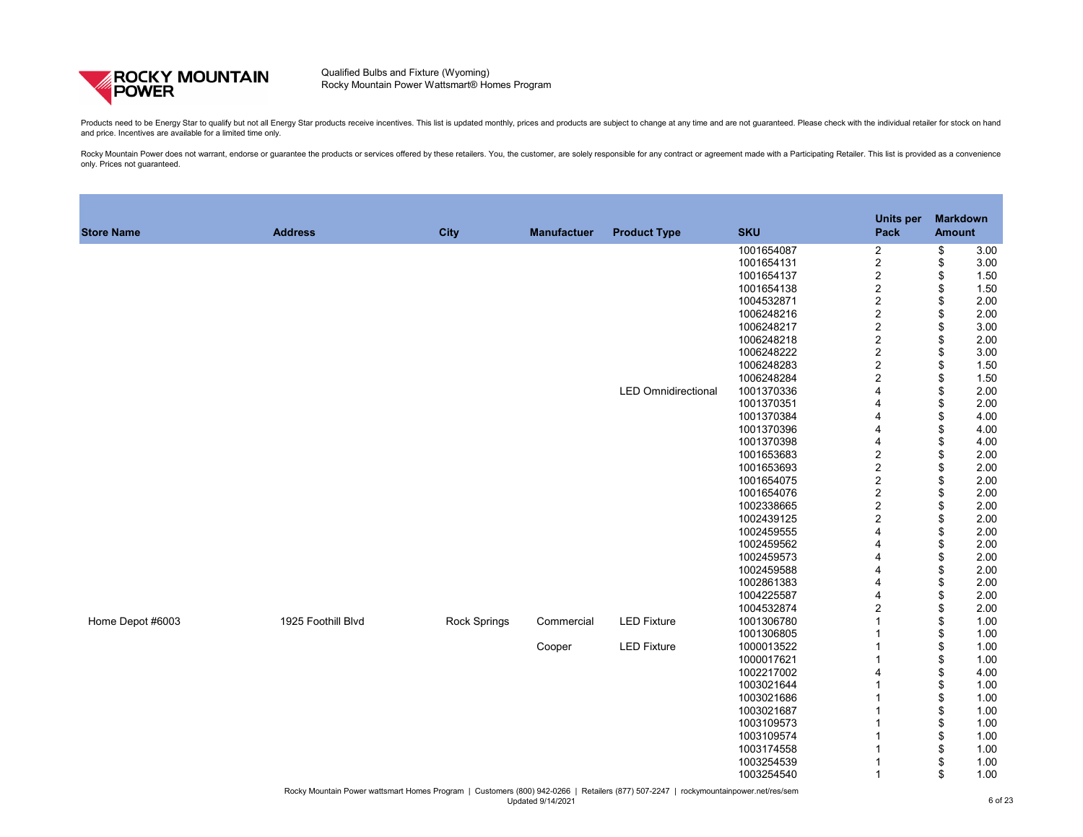

Products need to be Energy Star to qualify but not all Energy Star products receive incentives. This list is updated monthly, prices and products are subject to change at any time and are not guaranteed. Please check with and price. Incentives are available for a limited time only.

| <b>Store Name</b> | <b>Address</b>     | <b>City</b>         | <b>Manufactuer</b> | <b>Product Type</b>                                                                                                                 | <b>SKU</b> | <b>Units per</b><br><b>Pack</b> | <b>Amount</b>         | <b>Markdown</b> |
|-------------------|--------------------|---------------------|--------------------|-------------------------------------------------------------------------------------------------------------------------------------|------------|---------------------------------|-----------------------|-----------------|
|                   |                    |                     |                    |                                                                                                                                     | 1001654087 | $\overline{2}$                  | \$                    | 3.00            |
|                   |                    |                     |                    |                                                                                                                                     | 1001654131 | $\overline{c}$                  | \$                    | 3.00            |
|                   |                    |                     |                    |                                                                                                                                     | 1001654137 | $\overline{c}$                  | \$                    | 1.50            |
|                   |                    |                     |                    |                                                                                                                                     | 1001654138 | $\overline{2}$                  | \$                    | 1.50            |
|                   |                    |                     |                    |                                                                                                                                     | 1004532871 | $\overline{2}$                  | \$                    | 2.00            |
|                   |                    |                     |                    |                                                                                                                                     | 1006248216 | $\overline{c}$                  | \$                    | 2.00            |
|                   |                    |                     |                    |                                                                                                                                     | 1006248217 | $\overline{c}$                  | \$                    | 3.00            |
|                   |                    |                     |                    |                                                                                                                                     | 1006248218 | $\overline{c}$                  | \$                    | 2.00            |
|                   |                    |                     |                    |                                                                                                                                     | 1006248222 | $\overline{2}$                  | \$                    | 3.00            |
|                   |                    |                     |                    |                                                                                                                                     | 1006248283 | $\overline{2}$                  | \$                    | 1.50            |
|                   |                    |                     |                    |                                                                                                                                     | 1006248284 | $\overline{2}$                  | \$                    | 1.50            |
|                   |                    |                     |                    | <b>LED Omnidirectional</b>                                                                                                          | 1001370336 | 4                               | \$                    | 2.00            |
|                   |                    |                     |                    |                                                                                                                                     | 1001370351 | 4                               | \$                    | 2.00            |
|                   |                    |                     |                    |                                                                                                                                     | 1001370384 | 4                               | \$                    | 4.00            |
|                   |                    |                     |                    |                                                                                                                                     | 1001370396 | 4                               | \$                    | 4.00            |
|                   |                    |                     |                    |                                                                                                                                     | 1001370398 | 4                               | \$                    | 4.00            |
|                   |                    |                     |                    |                                                                                                                                     | 1001653683 | $\overline{c}$                  | \$                    | 2.00            |
|                   |                    |                     |                    |                                                                                                                                     | 1001653693 | $\overline{c}$                  | \$                    | 2.00            |
|                   |                    |                     |                    |                                                                                                                                     | 1001654075 | $\overline{2}$                  | \$                    | 2.00            |
|                   |                    |                     |                    |                                                                                                                                     | 1001654076 | $\overline{c}$                  | \$                    | 2.00            |
|                   |                    |                     |                    |                                                                                                                                     | 1002338665 | $\overline{2}$                  | \$                    | 2.00            |
|                   |                    |                     |                    |                                                                                                                                     | 1002439125 | $\overline{2}$                  | \$                    | 2.00            |
|                   |                    |                     |                    |                                                                                                                                     | 1002459555 | 4                               | \$                    | 2.00            |
|                   |                    |                     |                    |                                                                                                                                     | 1002459562 | 4                               | \$                    | 2.00            |
|                   |                    |                     |                    |                                                                                                                                     | 1002459573 | 4                               | \$                    | 2.00            |
|                   |                    |                     |                    |                                                                                                                                     | 1002459588 | 4                               | \$                    | 2.00            |
|                   |                    |                     |                    |                                                                                                                                     | 1002861383 | 4                               | \$                    | 2.00            |
|                   |                    |                     |                    |                                                                                                                                     | 1004225587 | 4                               | \$                    | 2.00            |
|                   |                    |                     |                    |                                                                                                                                     | 1004532874 | $\overline{2}$                  | \$                    | 2.00            |
| Home Depot #6003  | 1925 Foothill Blvd | <b>Rock Springs</b> | Commercial         | <b>LED Fixture</b>                                                                                                                  | 1001306780 |                                 | \$                    | 1.00            |
|                   |                    |                     |                    |                                                                                                                                     | 1001306805 |                                 | \$                    | 1.00            |
|                   |                    |                     | Cooper             | <b>LED Fixture</b>                                                                                                                  | 1000013522 |                                 |                       | 1.00            |
|                   |                    |                     |                    |                                                                                                                                     | 1000017621 |                                 |                       | 1.00            |
|                   |                    |                     |                    |                                                                                                                                     | 1002217002 |                                 |                       | 4.00            |
|                   |                    |                     |                    |                                                                                                                                     | 1003021644 |                                 |                       | 1.00            |
|                   |                    |                     |                    |                                                                                                                                     | 1003021686 |                                 | \$                    | 1.00            |
|                   |                    |                     |                    |                                                                                                                                     | 1003021687 |                                 |                       | 1.00            |
|                   |                    |                     |                    |                                                                                                                                     | 1003109573 |                                 | \$                    | 1.00            |
|                   |                    |                     |                    |                                                                                                                                     | 1003109574 |                                 |                       | 1.00            |
|                   |                    |                     |                    |                                                                                                                                     | 1003174558 |                                 | \$                    | 1.00            |
|                   |                    |                     |                    |                                                                                                                                     | 1003254539 |                                 | \$                    | 1.00            |
|                   |                    |                     |                    |                                                                                                                                     | 1003254540 |                                 | $\boldsymbol{\theta}$ | 1.00            |
|                   |                    |                     | Updated 9/14/2021  | Rocky Mountain Power wattsmart Homes Program   Customers (800) 942-0266   Retailers (877) 507-2247   rockymountainpower.net/res/sem |            |                                 |                       | 6 of 23         |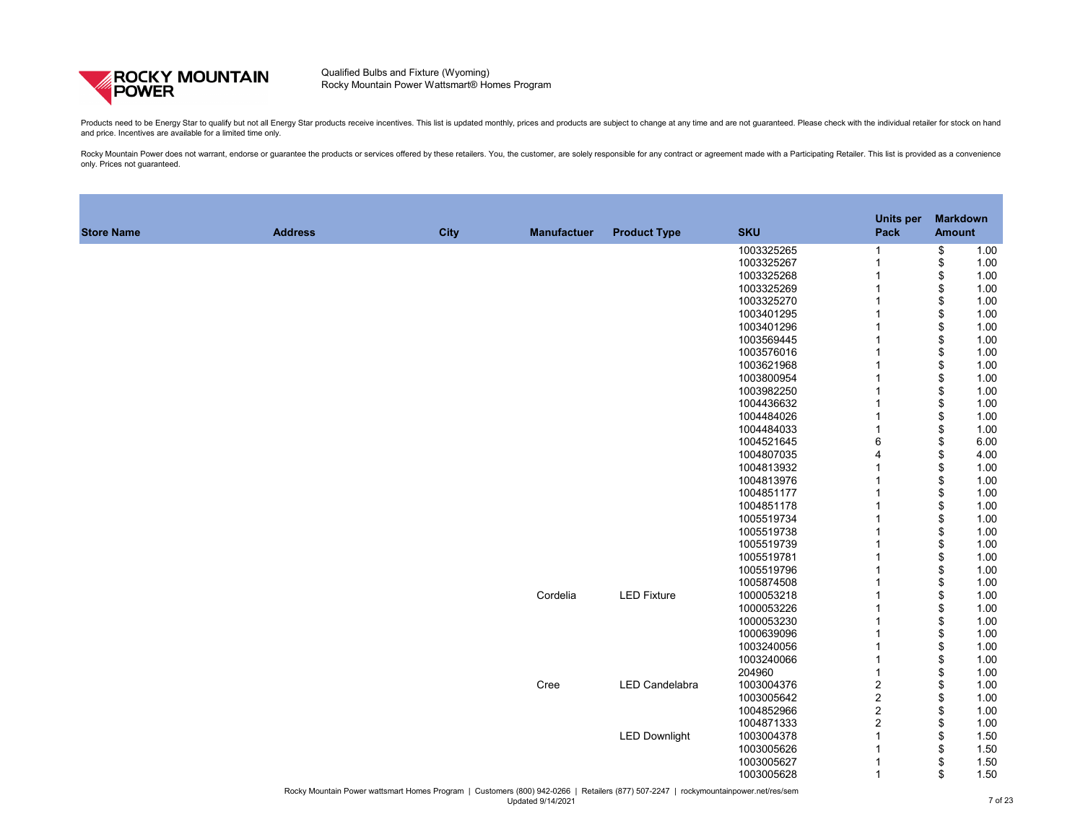

Products need to be Energy Star to qualify but not all Energy Star products receive incentives. This list is updated monthly, prices and products are subject to change at any time and are not guaranteed. Please check with and price. Incentives are available for a limited time only.

| <b>Store Name</b> | <b>Address</b> | <b>City</b> | <b>Manufactuer</b> | <b>Product Type</b>   | <b>SKU</b> | <b>Units per</b><br><b>Pack</b> | <b>Markdown</b><br><b>Amount</b> |
|-------------------|----------------|-------------|--------------------|-----------------------|------------|---------------------------------|----------------------------------|
|                   |                |             |                    |                       | 1003325265 |                                 | 1.00<br>\$                       |
|                   |                |             |                    |                       | 1003325267 |                                 | \$<br>1.00                       |
|                   |                |             |                    |                       | 1003325268 |                                 | 1.00<br>\$                       |
|                   |                |             |                    |                       | 1003325269 |                                 | 1.00                             |
|                   |                |             |                    |                       | 1003325270 |                                 | 1.00                             |
|                   |                |             |                    |                       | 1003401295 |                                 | 1.00                             |
|                   |                |             |                    |                       | 1003401296 |                                 | 1.00                             |
|                   |                |             |                    |                       | 1003569445 |                                 | 1.00<br>\$                       |
|                   |                |             |                    |                       | 1003576016 |                                 | 1.00                             |
|                   |                |             |                    |                       | 1003621968 |                                 | 1.00                             |
|                   |                |             |                    |                       | 1003800954 |                                 | 1.00                             |
|                   |                |             |                    |                       | 1003982250 |                                 | 1.00                             |
|                   |                |             |                    |                       | 1004436632 |                                 | 1.00<br>\$                       |
|                   |                |             |                    |                       | 1004484026 |                                 | 1.00                             |
|                   |                |             |                    |                       | 1004484033 |                                 | 1.00                             |
|                   |                |             |                    |                       | 1004521645 | 6                               | 6.00                             |
|                   |                |             |                    |                       | 1004807035 | 4                               | 4.00                             |
|                   |                |             |                    |                       | 1004813932 |                                 | 1.00                             |
|                   |                |             |                    |                       | 1004813976 |                                 | 1.00                             |
|                   |                |             |                    |                       | 1004851177 |                                 | 1.00                             |
|                   |                |             |                    |                       | 1004851178 |                                 | 1.00                             |
|                   |                |             |                    |                       | 1005519734 |                                 | 1.00                             |
|                   |                |             |                    |                       | 1005519738 |                                 | 1.00                             |
|                   |                |             |                    |                       | 1005519739 |                                 | 1.00                             |
|                   |                |             |                    |                       | 1005519781 |                                 | 1.00                             |
|                   |                |             |                    |                       | 1005519796 |                                 | 1.00                             |
|                   |                |             |                    |                       | 1005874508 |                                 | 1.00                             |
|                   |                |             | Cordelia           | <b>LED Fixture</b>    | 1000053218 |                                 | 1.00                             |
|                   |                |             |                    |                       | 1000053226 |                                 | 1.00<br>\$                       |
|                   |                |             |                    |                       | 1000053230 |                                 | 1.00                             |
|                   |                |             |                    |                       | 1000639096 |                                 | 1.00                             |
|                   |                |             |                    |                       | 1003240056 |                                 | 1.00                             |
|                   |                |             |                    |                       | 1003240066 |                                 | 1.00                             |
|                   |                |             |                    |                       | 204960     |                                 | 1.00                             |
|                   |                |             | Cree               | <b>LED Candelabra</b> | 1003004376 | $\overline{2}$                  | 1.00                             |
|                   |                |             |                    |                       | 1003005642 | $\overline{c}$                  | 1.00                             |
|                   |                |             |                    |                       | 1004852966 | $\overline{2}$                  | 1.00                             |
|                   |                |             |                    |                       | 1004871333 | $\overline{2}$                  | 1.00                             |
|                   |                |             |                    | <b>LED Downlight</b>  | 1003004378 |                                 | 1.50                             |
|                   |                |             |                    |                       | 1003005626 |                                 | 1.50                             |
|                   |                |             |                    |                       | 1003005627 |                                 | 1.50                             |
|                   |                |             |                    |                       | 1003005628 |                                 | 1.50                             |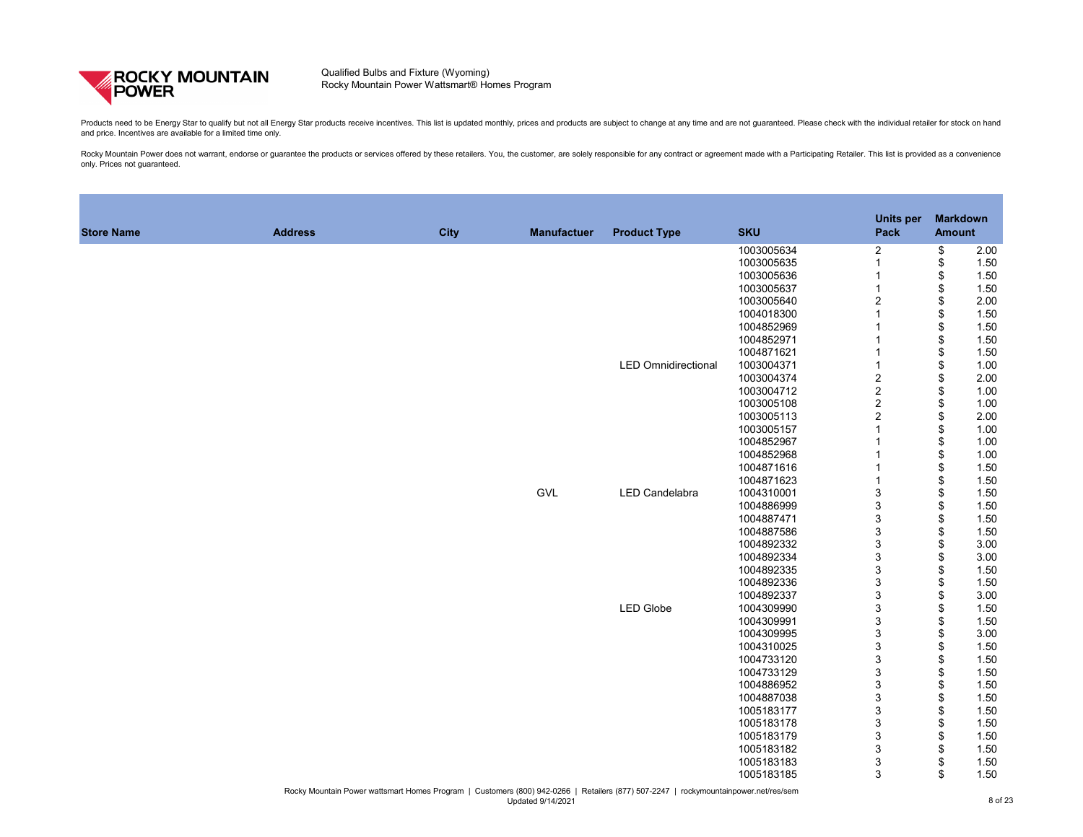

Products need to be Energy Star to qualify but not all Energy Star products receive incentives. This list is updated monthly, prices and products are subject to change at any time and are not guaranteed. Please check with and price. Incentives are available for a limited time only.

| <b>Store Name</b> | <b>Address</b> | <b>City</b> | <b>Manufactuer</b> | <b>Product Type</b>                                                                                                                 | <b>SKU</b> | <b>Units per</b><br><b>Pack</b>  | <b>Markdown</b><br><b>Amount</b> |      |
|-------------------|----------------|-------------|--------------------|-------------------------------------------------------------------------------------------------------------------------------------|------------|----------------------------------|----------------------------------|------|
|                   |                |             |                    |                                                                                                                                     | 1003005634 | $\overline{2}$                   | \$                               | 2.00 |
|                   |                |             |                    |                                                                                                                                     | 1003005635 |                                  | \$                               | 1.50 |
|                   |                |             |                    |                                                                                                                                     | 1003005636 |                                  |                                  | 1.50 |
|                   |                |             |                    |                                                                                                                                     | 1003005637 |                                  |                                  | 1.50 |
|                   |                |             |                    |                                                                                                                                     | 1003005640 | $\overline{2}$                   |                                  | 2.00 |
|                   |                |             |                    |                                                                                                                                     | 1004018300 |                                  |                                  | 1.50 |
|                   |                |             |                    |                                                                                                                                     | 1004852969 |                                  |                                  | 1.50 |
|                   |                |             |                    |                                                                                                                                     | 1004852971 |                                  |                                  | 1.50 |
|                   |                |             |                    |                                                                                                                                     | 1004871621 |                                  |                                  | 1.50 |
|                   |                |             |                    | <b>LED Omnidirectional</b>                                                                                                          | 1003004371 |                                  |                                  | 1.00 |
|                   |                |             |                    |                                                                                                                                     | 1003004374 | $\overline{c}$                   |                                  | 2.00 |
|                   |                |             |                    |                                                                                                                                     | 1003004712 |                                  |                                  | 1.00 |
|                   |                |             |                    |                                                                                                                                     | 1003005108 | $\overline{c}$<br>$\overline{2}$ |                                  |      |
|                   |                |             |                    |                                                                                                                                     |            |                                  |                                  | 1.00 |
|                   |                |             |                    |                                                                                                                                     | 1003005113 | $\overline{2}$                   |                                  | 2.00 |
|                   |                |             |                    |                                                                                                                                     | 1003005157 |                                  |                                  | 1.00 |
|                   |                |             |                    |                                                                                                                                     | 1004852967 |                                  |                                  | 1.00 |
|                   |                |             |                    |                                                                                                                                     | 1004852968 |                                  |                                  | 1.00 |
|                   |                |             |                    |                                                                                                                                     | 1004871616 |                                  | \$                               | 1.50 |
|                   |                |             |                    |                                                                                                                                     | 1004871623 |                                  |                                  | 1.50 |
|                   |                |             | <b>GVL</b>         | <b>LED Candelabra</b>                                                                                                               | 1004310001 | 3                                |                                  | 1.50 |
|                   |                |             |                    |                                                                                                                                     | 1004886999 | $\mathfrak{S}$                   |                                  | 1.50 |
|                   |                |             |                    |                                                                                                                                     | 1004887471 | $\mathfrak{S}$                   |                                  | 1.50 |
|                   |                |             |                    |                                                                                                                                     | 1004887586 | $\sqrt{3}$                       |                                  | 1.50 |
|                   |                |             |                    |                                                                                                                                     | 1004892332 | 3                                |                                  | 3.00 |
|                   |                |             |                    |                                                                                                                                     | 1004892334 | 3                                |                                  | 3.00 |
|                   |                |             |                    |                                                                                                                                     | 1004892335 | 3                                |                                  | 1.50 |
|                   |                |             |                    |                                                                                                                                     | 1004892336 | 3                                |                                  | 1.50 |
|                   |                |             |                    |                                                                                                                                     | 1004892337 | 3                                |                                  | 3.00 |
|                   |                |             |                    | <b>LED Globe</b>                                                                                                                    | 1004309990 | $\mathfrak{S}$                   | \$                               | 1.50 |
|                   |                |             |                    |                                                                                                                                     | 1004309991 | 3                                |                                  | 1.50 |
|                   |                |             |                    |                                                                                                                                     | 1004309995 | 3                                |                                  | 3.00 |
|                   |                |             |                    |                                                                                                                                     | 1004310025 | 3                                |                                  | 1.50 |
|                   |                |             |                    |                                                                                                                                     | 1004733120 | 3                                |                                  | 1.50 |
|                   |                |             |                    |                                                                                                                                     | 1004733129 | 3                                |                                  | 1.50 |
|                   |                |             |                    |                                                                                                                                     | 1004886952 | 3                                |                                  | 1.50 |
|                   |                |             |                    |                                                                                                                                     | 1004887038 | 3                                |                                  | 1.50 |
|                   |                |             |                    |                                                                                                                                     | 1005183177 | 3                                |                                  | 1.50 |
|                   |                |             |                    |                                                                                                                                     | 1005183178 | 3                                |                                  | 1.50 |
|                   |                |             |                    |                                                                                                                                     | 1005183179 | $\mathfrak{S}$                   |                                  | 1.50 |
|                   |                |             |                    |                                                                                                                                     | 1005183182 | $\mathfrak{S}$                   |                                  |      |
|                   |                |             |                    |                                                                                                                                     |            |                                  |                                  | 1.50 |
|                   |                |             |                    |                                                                                                                                     | 1005183183 | $\mathfrak{S}$                   |                                  | 1.50 |
|                   |                |             |                    |                                                                                                                                     | 1005183185 | 3                                | \$                               | 1.50 |
|                   |                |             |                    | Rocky Mountain Power wattsmart Homes Program   Customers (800) 942-0266   Retailers (877) 507-2247   rockymountainpower.net/res/sem |            |                                  |                                  |      |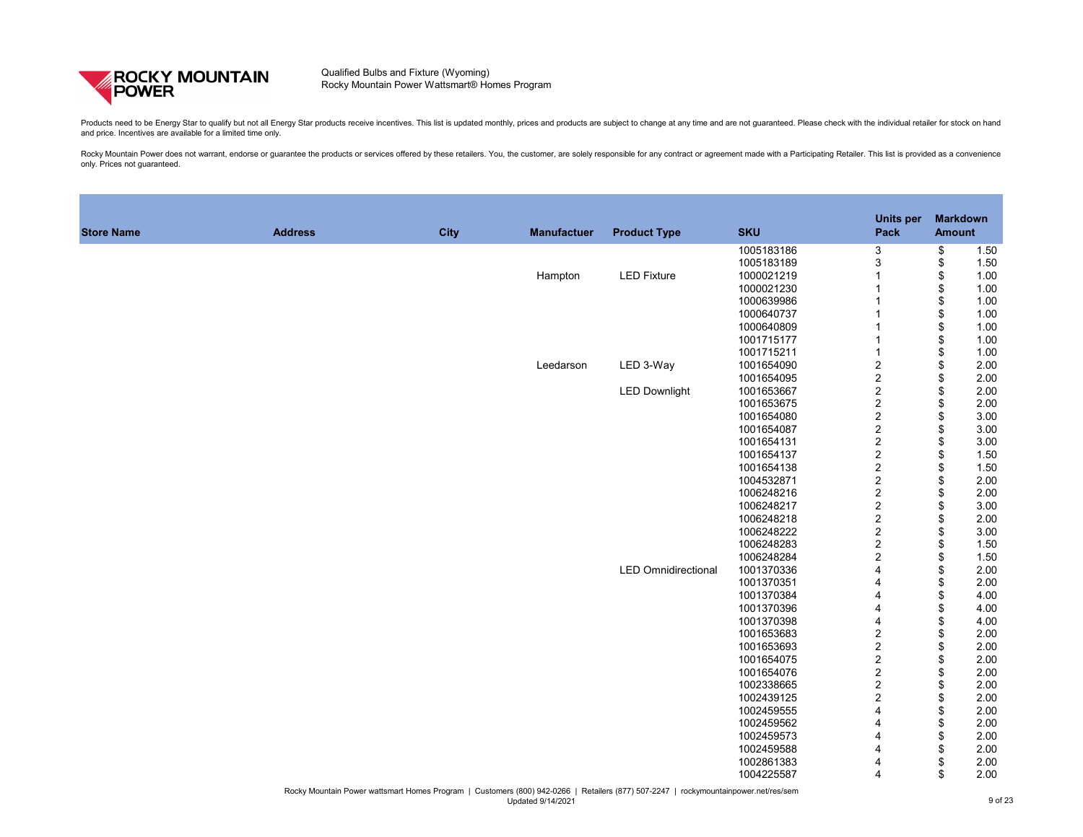

Products need to be Energy Star to qualify but not all Energy Star products receive incentives. This list is updated monthly, prices and products are subject to change at any time and are not guaranteed. Please check with and price. Incentives are available for a limited time only.

| <b>Store Name</b> | <b>Address</b> | <b>City</b> | <b>Manufactuer</b> | <b>Product Type</b>                                                                           | <b>SKU</b> | <b>Units per</b><br><b>Pack</b> | <b>Markdown</b><br><b>Amount</b> |      |
|-------------------|----------------|-------------|--------------------|-----------------------------------------------------------------------------------------------|------------|---------------------------------|----------------------------------|------|
|                   |                |             |                    |                                                                                               | 1005183186 | $\mathfrak{S}$                  | \$                               | 1.50 |
|                   |                |             |                    |                                                                                               | 1005183189 | $\ensuremath{\mathsf{3}}$       | $\boldsymbol{\mathsf{S}}$        | 1.50 |
|                   |                |             | Hampton            | <b>LED Fixture</b>                                                                            | 1000021219 |                                 | $\boldsymbol{\mathsf{\$}}$       | 1.00 |
|                   |                |             |                    |                                                                                               | 1000021230 |                                 | \$                               | 1.00 |
|                   |                |             |                    |                                                                                               | 1000639986 |                                 | $\boldsymbol{\mathsf{\$}}$       | 1.00 |
|                   |                |             |                    |                                                                                               | 1000640737 |                                 | \$                               | 1.00 |
|                   |                |             |                    |                                                                                               | 1000640809 |                                 | $\boldsymbol{\mathsf{S}}$        | 1.00 |
|                   |                |             |                    |                                                                                               | 1001715177 |                                 | $\boldsymbol{\mathsf{\$}}$       | 1.00 |
|                   |                |             |                    |                                                                                               | 1001715211 |                                 |                                  | 1.00 |
|                   |                |             | Leedarson          | LED 3-Way                                                                                     | 1001654090 | $\overline{2}$                  |                                  | 2.00 |
|                   |                |             |                    |                                                                                               | 1001654095 | $\overline{2}$                  |                                  | 2.00 |
|                   |                |             |                    | <b>LED Downlight</b>                                                                          | 1001653667 |                                 |                                  | 2.00 |
|                   |                |             |                    |                                                                                               | 1001653675 | $\frac{2}{2}$                   | \$                               | 2.00 |
|                   |                |             |                    |                                                                                               | 1001654080 | $\overline{2}$                  |                                  | 3.00 |
|                   |                |             |                    |                                                                                               | 1001654087 | $\overline{c}$                  |                                  | 3.00 |
|                   |                |             |                    |                                                                                               | 1001654131 | $\overline{2}$                  | \$                               | 3.00 |
|                   |                |             |                    |                                                                                               | 1001654137 | $\overline{c}$                  |                                  | 1.50 |
|                   |                |             |                    |                                                                                               | 1001654138 | $\overline{2}$                  | \$                               | 1.50 |
|                   |                |             |                    |                                                                                               | 1004532871 | $\overline{2}$                  |                                  | 2.00 |
|                   |                |             |                    |                                                                                               | 1006248216 | $\overline{c}$                  |                                  | 2.00 |
|                   |                |             |                    |                                                                                               | 1006248217 | $\overline{c}$                  |                                  | 3.00 |
|                   |                |             |                    |                                                                                               | 1006248218 | $\overline{\mathbf{c}}$         |                                  | 2.00 |
|                   |                |             |                    |                                                                                               | 1006248222 | $\overline{c}$                  | \$                               | 3.00 |
|                   |                |             |                    |                                                                                               | 1006248283 | $\overline{2}$                  |                                  | 1.50 |
|                   |                |             |                    |                                                                                               | 1006248284 | $\overline{2}$                  |                                  | 1.50 |
|                   |                |             |                    | <b>LED Omnidirectional</b>                                                                    | 1001370336 | 4                               |                                  | 2.00 |
|                   |                |             |                    |                                                                                               | 1001370351 | 4                               |                                  | 2.00 |
|                   |                |             |                    |                                                                                               | 1001370384 |                                 |                                  | 4.00 |
|                   |                |             |                    |                                                                                               | 1001370396 | 4                               | \$                               | 4.00 |
|                   |                |             |                    |                                                                                               | 1001370398 |                                 |                                  | 4.00 |
|                   |                |             |                    |                                                                                               | 1001653683 | $\overline{2}$                  |                                  | 2.00 |
|                   |                |             |                    |                                                                                               | 1001653693 | $\overline{2}$                  |                                  | 2.00 |
|                   |                |             |                    |                                                                                               | 1001654075 | $\overline{2}$                  |                                  | 2.00 |
|                   |                |             |                    |                                                                                               | 1001654076 | $\overline{2}$                  |                                  | 2.00 |
|                   |                |             |                    |                                                                                               | 1002338665 | $\overline{2}$                  |                                  | 2.00 |
|                   |                |             |                    |                                                                                               | 1002439125 | 2                               |                                  | 2.00 |
|                   |                |             |                    |                                                                                               | 1002459555 |                                 |                                  | 2.00 |
|                   |                |             |                    |                                                                                               | 1002459562 |                                 |                                  | 2.00 |
|                   |                |             |                    |                                                                                               | 1002459573 |                                 |                                  | 2.00 |
|                   |                |             |                    |                                                                                               | 1002459588 |                                 |                                  | 2.00 |
|                   |                |             |                    |                                                                                               | 1002861383 |                                 |                                  | 2.00 |
|                   |                |             |                    |                                                                                               | 1004225587 | 4                               |                                  | 2.00 |
|                   |                |             |                    | ottomart Homes Drearam   Customars (900) 049 0966   Detailers (977) E07 2947   realgemeuntain |            |                                 |                                  |      |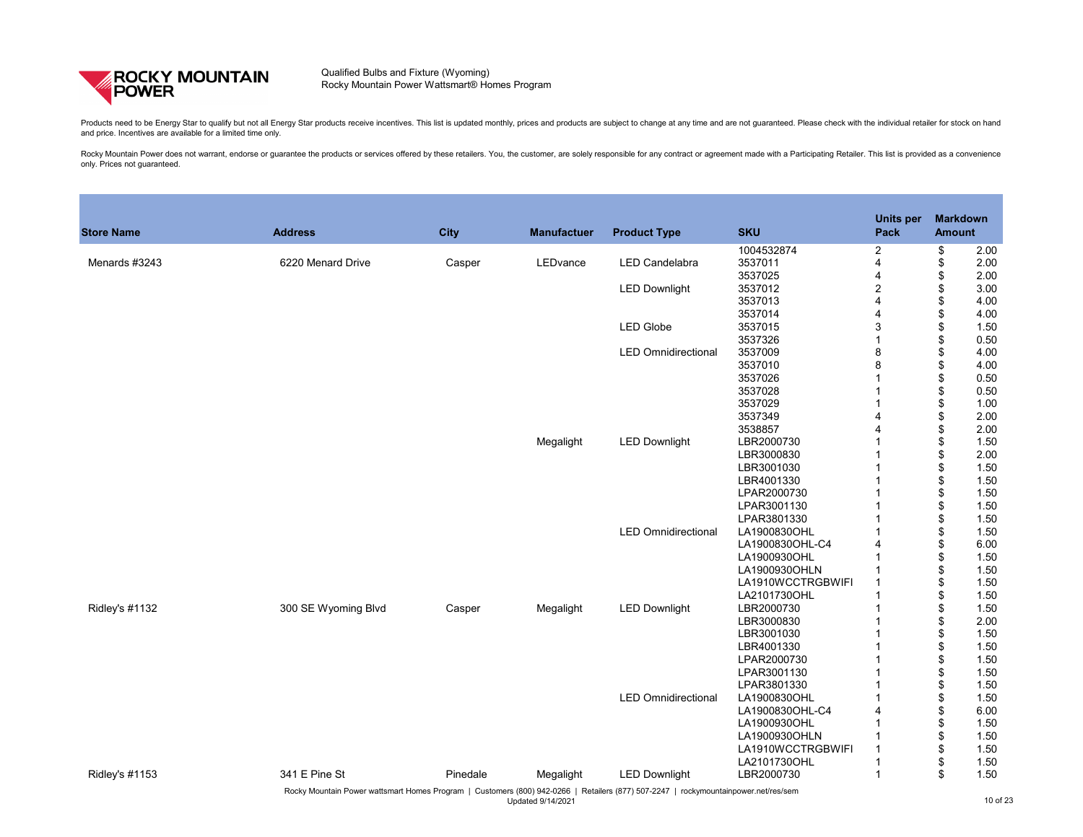

Products need to be Energy Star to qualify but not all Energy Star products receive incentives. This list is updated monthly, prices and products are subject to change at any time and are not guaranteed. Please check with and price. Incentives are available for a limited time only.

Rocky Mountain Power does not warrant, endorse or guarantee the products or services offered by these retailers. You, the customer, are solely responsible for any contract or agreement made with a Participating Retailer. T only. Prices not guaranteed.

| <b>Store Name</b>     | <b>Address</b>      | <b>City</b> | <b>Manufactuer</b> | <b>Product Type</b>        | <b>SKU</b>        | <b>Units per</b><br><b>Pack</b> | <b>Markdown</b><br><b>Amount</b> |      |
|-----------------------|---------------------|-------------|--------------------|----------------------------|-------------------|---------------------------------|----------------------------------|------|
|                       |                     |             |                    |                            | 1004532874        | $\overline{2}$                  | \$                               | 2.00 |
| Menards #3243         | 6220 Menard Drive   | Casper      | LEDvance           | <b>LED Candelabra</b>      | 3537011           | 4                               | \$                               | 2.00 |
|                       |                     |             |                    |                            | 3537025           |                                 | \$                               | 2.00 |
|                       |                     |             |                    | <b>LED Downlight</b>       | 3537012           | $\overline{2}$                  |                                  | 3.00 |
|                       |                     |             |                    |                            | 3537013           |                                 | \$                               | 4.00 |
|                       |                     |             |                    |                            | 3537014           |                                 | \$                               | 4.00 |
|                       |                     |             |                    | <b>LED Globe</b>           | 3537015           | 3                               |                                  | 1.50 |
|                       |                     |             |                    |                            | 3537326           |                                 | \$                               | 0.50 |
|                       |                     |             |                    | <b>LED Omnidirectional</b> | 3537009           | 8                               |                                  | 4.00 |
|                       |                     |             |                    |                            | 3537010           | 8                               |                                  | 4.00 |
|                       |                     |             |                    |                            | 3537026           |                                 |                                  | 0.50 |
|                       |                     |             |                    |                            | 3537028           |                                 | \$                               | 0.50 |
|                       |                     |             |                    |                            | 3537029           |                                 | \$                               | 1.00 |
|                       |                     |             |                    |                            | 3537349           |                                 | \$                               | 2.00 |
|                       |                     |             |                    |                            | 3538857           |                                 | \$                               | 2.00 |
|                       |                     |             | Megalight          | <b>LED Downlight</b>       | LBR2000730        |                                 |                                  | 1.50 |
|                       |                     |             |                    |                            | LBR3000830        |                                 |                                  | 2.00 |
|                       |                     |             |                    |                            | LBR3001030        |                                 | \$                               | 1.50 |
|                       |                     |             |                    |                            | LBR4001330        |                                 | \$                               | 1.50 |
|                       |                     |             |                    |                            | LPAR2000730       |                                 | \$                               | 1.50 |
|                       |                     |             |                    |                            | LPAR3001130       |                                 | \$                               | 1.50 |
|                       |                     |             |                    |                            | LPAR3801330       |                                 | \$                               | 1.50 |
|                       |                     |             |                    | <b>LED Omnidirectional</b> | LA1900830OHL      |                                 | \$                               | 1.50 |
|                       |                     |             |                    |                            | LA1900830OHL-C4   |                                 |                                  | 6.00 |
|                       |                     |             |                    |                            | LA1900930OHL      |                                 |                                  | 1.50 |
|                       |                     |             |                    |                            | LA1900930OHLN     |                                 |                                  | 1.50 |
|                       |                     |             |                    |                            | LA1910WCCTRGBWIFI |                                 |                                  | 1.50 |
|                       |                     |             |                    |                            | LA2101730OHL      |                                 |                                  | 1.50 |
| <b>Ridley's #1132</b> | 300 SE Wyoming Blvd | Casper      | Megalight          | <b>LED Downlight</b>       | LBR2000730        |                                 | \$                               | 1.50 |
|                       |                     |             |                    |                            | LBR3000830        |                                 |                                  | 2.00 |
|                       |                     |             |                    |                            | LBR3001030        |                                 |                                  | 1.50 |
|                       |                     |             |                    |                            | LBR4001330        |                                 |                                  | 1.50 |
|                       |                     |             |                    |                            | LPAR2000730       |                                 |                                  | 1.50 |
|                       |                     |             |                    |                            | LPAR3001130       |                                 |                                  | 1.50 |
|                       |                     |             |                    |                            | LPAR3801330       |                                 |                                  | 1.50 |
|                       |                     |             |                    | <b>LED Omnidirectional</b> | LA1900830OHL      |                                 |                                  | 1.50 |
|                       |                     |             |                    |                            | LA1900830OHL-C4   |                                 |                                  | 6.00 |
|                       |                     |             |                    |                            | LA1900930OHL      |                                 |                                  | 1.50 |
|                       |                     |             |                    |                            | LA1900930OHLN     |                                 |                                  | 1.50 |
|                       |                     |             |                    |                            | LA1910WCCTRGBWIFI |                                 |                                  | 1.50 |
|                       |                     |             |                    |                            | LA2101730OHL      |                                 |                                  | 1.50 |
| <b>Ridley's #1153</b> | 341 E Pine St       | Pinedale    | Megalight          | <b>LED Downlight</b>       | LBR2000730        |                                 | \$                               | 1.50 |
|                       |                     |             |                    |                            |                   |                                 |                                  |      |

Rocky Mountain Power wattsmart Homes Program | Customers (800) 942-0266 | Retailers (877) 507-2247 | rockymountainpower.net/res/sem Updated 9/14/2021 10 of 23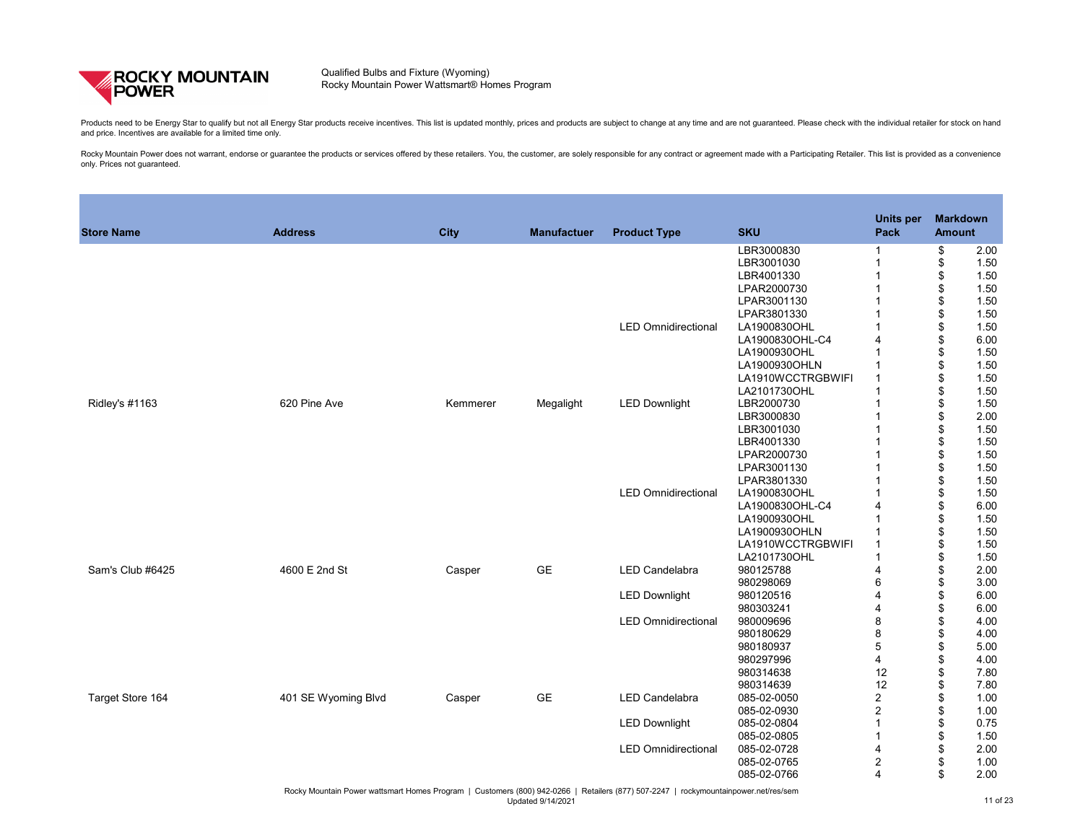

Products need to be Energy Star to qualify but not all Energy Star products receive incentives. This list is updated monthly, prices and products are subject to change at any time and are not guaranteed. Please check with and price. Incentives are available for a limited time only.

| <b>Store Name</b>     | <b>Address</b>      | <b>City</b> | <b>Manufactuer</b> | <b>Product Type</b>        | <b>SKU</b>                        | <b>Units per</b><br><b>Pack</b> | <b>Markdown</b><br><b>Amount</b> |              |
|-----------------------|---------------------|-------------|--------------------|----------------------------|-----------------------------------|---------------------------------|----------------------------------|--------------|
|                       |                     |             |                    |                            | LBR3000830<br>LBR3001030          |                                 | \$<br>\$                         | 2.00         |
|                       |                     |             |                    |                            | LBR4001330                        |                                 | $\boldsymbol{\mathsf{\$}}$       | 1.50<br>1.50 |
|                       |                     |             |                    |                            | LPAR2000730                       |                                 |                                  | 1.50         |
|                       |                     |             |                    |                            | LPAR3001130                       |                                 |                                  | 1.50         |
|                       |                     |             |                    |                            | LPAR3801330                       |                                 |                                  | 1.50         |
|                       |                     |             |                    | <b>LED Omnidirectional</b> | LA1900830OHL                      |                                 |                                  | 1.50         |
|                       |                     |             |                    |                            | LA1900830OHL-C4                   |                                 |                                  | 6.00         |
|                       |                     |             |                    |                            | LA1900930OHL                      |                                 |                                  | 1.50         |
|                       |                     |             |                    |                            | LA1900930OHLN                     |                                 |                                  | 1.50         |
|                       |                     |             |                    |                            | LA1910WCCTRGBWIFI                 |                                 |                                  | 1.50         |
|                       |                     |             |                    |                            | LA2101730OHL                      |                                 |                                  | 1.50         |
| <b>Ridley's #1163</b> | 620 Pine Ave        | Kemmerer    | Megalight          | <b>LED Downlight</b>       | LBR2000730                        |                                 | \$                               | 1.50         |
|                       |                     |             |                    |                            | LBR3000830                        |                                 |                                  | 2.00         |
|                       |                     |             |                    |                            | LBR3001030                        |                                 |                                  | 1.50         |
|                       |                     |             |                    |                            | LBR4001330                        |                                 |                                  | 1.50         |
|                       |                     |             |                    |                            | LPAR2000730                       |                                 |                                  | 1.50         |
|                       |                     |             |                    |                            | LPAR3001130                       |                                 | \$                               | 1.50         |
|                       |                     |             |                    |                            | LPAR3801330                       |                                 |                                  | 1.50         |
|                       |                     |             |                    | <b>LED Omnidirectional</b> | LA1900830OHL                      |                                 |                                  | 1.50         |
|                       |                     |             |                    |                            | LA1900830OHL-C4                   |                                 |                                  | 6.00         |
|                       |                     |             |                    |                            | LA1900930OHL                      |                                 |                                  | 1.50         |
|                       |                     |             |                    |                            | LA1900930OHLN                     |                                 | \$                               | 1.50         |
|                       |                     |             |                    |                            | LA1910WCCTRGBWIFI<br>LA2101730OHL |                                 |                                  | 1.50         |
| Sam's Club #6425      | 4600 E 2nd St       |             | <b>GE</b>          | <b>LED Candelabra</b>      | 980125788                         |                                 |                                  | 1.50         |
|                       |                     | Casper      |                    |                            | 980298069                         | 6                               |                                  | 2.00<br>3.00 |
|                       |                     |             |                    | <b>LED Downlight</b>       | 980120516                         |                                 |                                  | 6.00         |
|                       |                     |             |                    |                            | 980303241                         | 4                               | \$                               | 6.00         |
|                       |                     |             |                    | <b>LED Omnidirectional</b> | 980009696                         | 8                               |                                  | 4.00         |
|                       |                     |             |                    |                            | 980180629                         | 8                               |                                  | 4.00         |
|                       |                     |             |                    |                            | 980180937                         | 5                               |                                  | 5.00         |
|                       |                     |             |                    |                            | 980297996                         | 4                               |                                  | 4.00         |
|                       |                     |             |                    |                            | 980314638                         | 12                              |                                  | 7.80         |
|                       |                     |             |                    |                            | 980314639                         | 12                              |                                  | 7.80         |
| Target Store 164      | 401 SE Wyoming Blvd | Casper      | <b>GE</b>          | <b>LED Candelabra</b>      | 085-02-0050                       | $\overline{2}$                  |                                  | 1.00         |
|                       |                     |             |                    |                            | 085-02-0930                       | $\overline{2}$                  |                                  | 1.00         |
|                       |                     |             |                    | <b>LED Downlight</b>       | 085-02-0804                       |                                 |                                  | 0.75         |
|                       |                     |             |                    |                            | 085-02-0805                       |                                 |                                  | 1.50         |
|                       |                     |             |                    | <b>LED Omnidirectional</b> | 085-02-0728                       |                                 |                                  | 2.00         |
|                       |                     |             |                    |                            | 085-02-0765                       | $\overline{c}$                  |                                  | 1.00         |
|                       |                     |             |                    |                            | 085-02-0766                       | 4                               |                                  | 2.00         |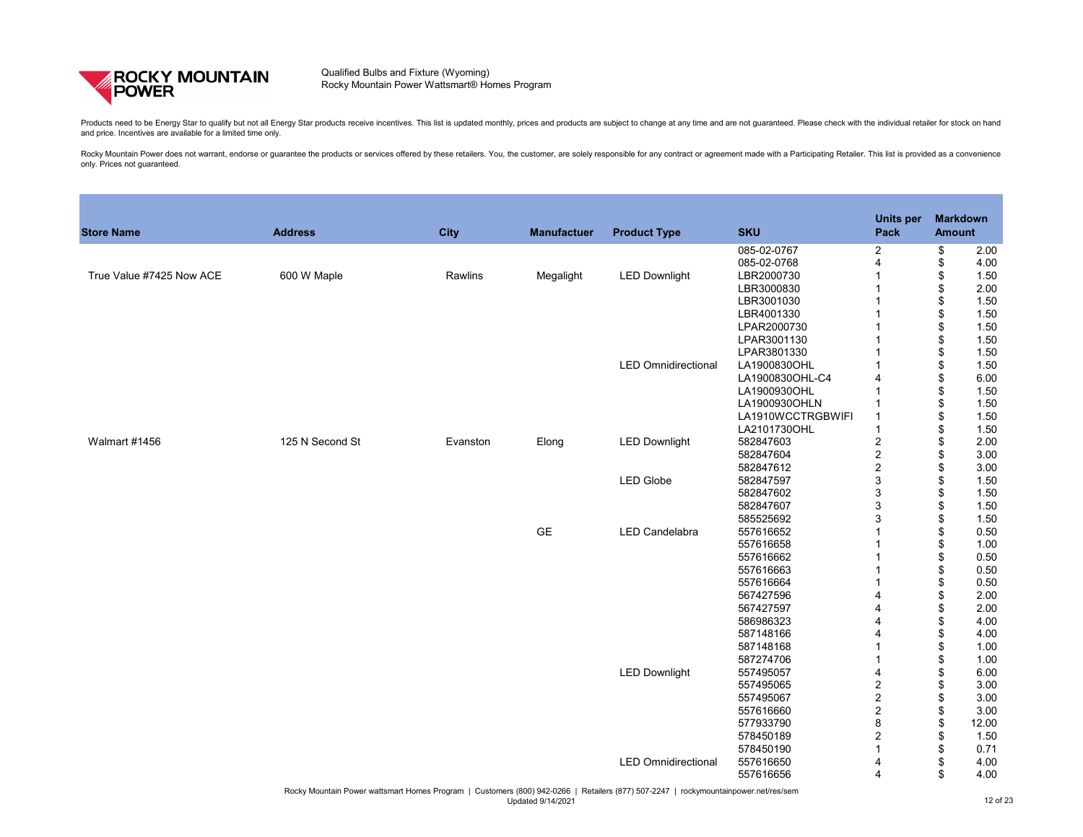

Products need to be Energy Star to qualify but not all Energy Star products receive incentives. This list is updated monthly, prices and products are subject to change at any time and are not guaranteed. Please check with and price. Incentives are available for a limited time only.

| <b>Store Name</b>        | <b>Address</b>  | <b>City</b> | <b>Manufactuer</b> | <b>Product Type</b>        | <b>SKU</b>        | <b>Units per</b><br><b>Pack</b> | <b>Markdown</b><br><b>Amount</b> |       |
|--------------------------|-----------------|-------------|--------------------|----------------------------|-------------------|---------------------------------|----------------------------------|-------|
|                          |                 |             |                    |                            | 085-02-0767       | $\overline{2}$                  | \$                               | 2.00  |
|                          |                 |             |                    |                            | 085-02-0768       | 4                               | \$                               | 4.00  |
| True Value #7425 Now ACE | 600 W Maple     | Rawlins     | Megalight          | <b>LED Downlight</b>       | LBR2000730        |                                 | \$                               | 1.50  |
|                          |                 |             |                    |                            | LBR3000830        |                                 | \$                               | 2.00  |
|                          |                 |             |                    |                            | LBR3001030        |                                 |                                  | 1.50  |
|                          |                 |             |                    |                            | LBR4001330        |                                 |                                  | 1.50  |
|                          |                 |             |                    |                            | LPAR2000730       |                                 |                                  | 1.50  |
|                          |                 |             |                    |                            | LPAR3001130       |                                 | \$                               | 1.50  |
|                          |                 |             |                    |                            | LPAR3801330       |                                 |                                  | 1.50  |
|                          |                 |             |                    | <b>LED Omnidirectional</b> | LA1900830OHL      |                                 |                                  | 1.50  |
|                          |                 |             |                    |                            | LA1900830OHL-C4   | 4                               |                                  | 6.00  |
|                          |                 |             |                    |                            | LA1900930OHL      |                                 | \$                               | 1.50  |
|                          |                 |             |                    |                            | LA1900930OHLN     |                                 | \$                               | 1.50  |
|                          |                 |             |                    |                            | LA1910WCCTRGBWIFI | 1                               |                                  | 1.50  |
|                          |                 |             |                    |                            | LA2101730OHL      |                                 |                                  | 1.50  |
| Walmart #1456            | 125 N Second St | Evanston    | Elong              | <b>LED Downlight</b>       | 582847603         | $\overline{c}$                  |                                  | 2.00  |
|                          |                 |             |                    |                            | 582847604         | $\overline{2}$                  |                                  | 3.00  |
|                          |                 |             |                    |                            | 582847612         | $\overline{2}$                  | \$                               | 3.00  |
|                          |                 |             |                    | <b>LED Globe</b>           | 582847597         | $\mathfrak{S}$                  |                                  | 1.50  |
|                          |                 |             |                    |                            | 582847602         | $\mathfrak{S}$                  |                                  | 1.50  |
|                          |                 |             |                    |                            | 582847607         | $\mathfrak{S}$                  |                                  | 1.50  |
|                          |                 |             |                    |                            | 585525692         | $\mathbf{3}$                    |                                  | 1.50  |
|                          |                 |             | <b>GE</b>          | <b>LED Candelabra</b>      | 557616652         |                                 | \$                               | 0.50  |
|                          |                 |             |                    |                            | 557616658         |                                 |                                  | 1.00  |
|                          |                 |             |                    |                            | 557616662         |                                 |                                  | 0.50  |
|                          |                 |             |                    |                            | 557616663         |                                 |                                  | 0.50  |
|                          |                 |             |                    |                            | 557616664         |                                 |                                  | 0.50  |
|                          |                 |             |                    |                            | 567427596         |                                 | \$.                              | 2.00  |
|                          |                 |             |                    |                            | 567427597         |                                 | \$                               | 2.00  |
|                          |                 |             |                    |                            | 586986323         |                                 |                                  | 4.00  |
|                          |                 |             |                    |                            | 587148166         |                                 |                                  | 4.00  |
|                          |                 |             |                    |                            | 587148168         |                                 |                                  | 1.00  |
|                          |                 |             |                    |                            | 587274706         |                                 |                                  | 1.00  |
|                          |                 |             |                    | <b>LED Downlight</b>       | 557495057         | 4                               |                                  | 6.00  |
|                          |                 |             |                    |                            | 557495065         | $\mathbf{2}$                    |                                  | 3.00  |
|                          |                 |             |                    |                            | 557495067         | $\overline{c}$                  |                                  | 3.00  |
|                          |                 |             |                    |                            | 557616660         | $\overline{2}$                  |                                  | 3.00  |
|                          |                 |             |                    |                            | 577933790         | 8                               |                                  | 12.00 |
|                          |                 |             |                    |                            | 578450189         | $\overline{2}$                  |                                  | 1.50  |
|                          |                 |             |                    |                            | 578450190         |                                 |                                  | 0.71  |
|                          |                 |             |                    | <b>LED Omnidirectional</b> | 557616650         | 4                               |                                  | 4.00  |
|                          |                 |             |                    |                            | 557616656         | 4                               |                                  | 4.00  |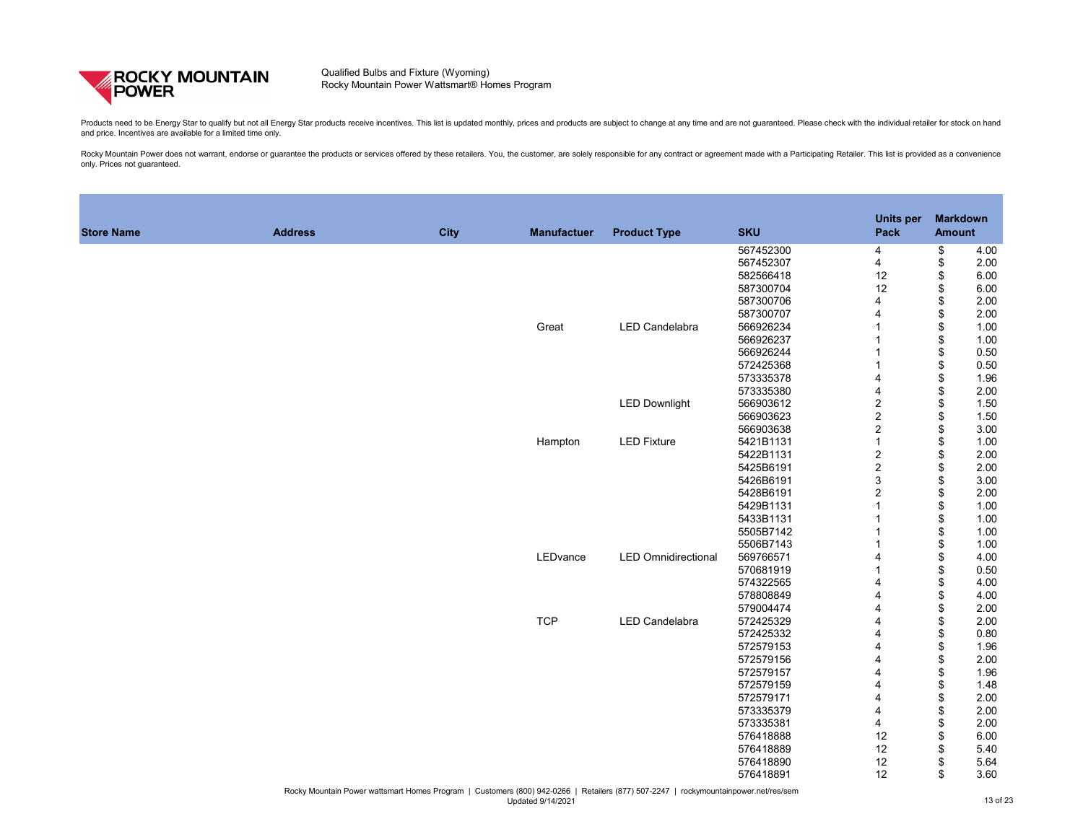

Products need to be Energy Star to qualify but not all Energy Star products receive incentives. This list is updated monthly, prices and products are subject to change at any time and are not guaranteed. Please check with and price. Incentives are available for a limited time only.

| <b>Store Name</b> | <b>Address</b> | <b>City</b> | <b>Manufactuer</b> | <b>Product Type</b>                                                                                                                 | <b>SKU</b> | <b>Units per</b><br><b>Pack</b> | <b>Amount</b>              | <b>Markdown</b> |
|-------------------|----------------|-------------|--------------------|-------------------------------------------------------------------------------------------------------------------------------------|------------|---------------------------------|----------------------------|-----------------|
|                   |                |             |                    |                                                                                                                                     | 567452300  | 4                               | \$                         | 4.00            |
|                   |                |             |                    |                                                                                                                                     | 567452307  | 4                               | \$                         | 2.00            |
|                   |                |             |                    |                                                                                                                                     | 582566418  | 12                              | \$                         | 6.00            |
|                   |                |             |                    |                                                                                                                                     | 587300704  | 12                              | \$                         | 6.00            |
|                   |                |             |                    |                                                                                                                                     | 587300706  | 4                               | \$                         | 2.00            |
|                   |                |             |                    |                                                                                                                                     | 587300707  | 4                               | \$                         | 2.00            |
|                   |                |             | Great              | LED Candelabra                                                                                                                      | 566926234  |                                 | \$                         | 1.00            |
|                   |                |             |                    |                                                                                                                                     | 566926237  |                                 | \$                         | 1.00            |
|                   |                |             |                    |                                                                                                                                     | 566926244  |                                 | \$                         | 0.50            |
|                   |                |             |                    |                                                                                                                                     | 572425368  |                                 | \$                         | 0.50            |
|                   |                |             |                    |                                                                                                                                     | 573335378  | 4                               | \$                         | 1.96            |
|                   |                |             |                    |                                                                                                                                     | 573335380  | 4                               | \$                         | 2.00            |
|                   |                |             |                    | <b>LED Downlight</b>                                                                                                                | 566903612  | $\overline{c}$                  | \$                         | 1.50            |
|                   |                |             |                    |                                                                                                                                     | 566903623  | $\overline{c}$                  | \$                         | 1.50            |
|                   |                |             |                    |                                                                                                                                     | 566903638  | $\overline{c}$                  | \$                         | 3.00            |
|                   |                |             | Hampton            | <b>LED Fixture</b>                                                                                                                  | 5421B1131  |                                 | \$                         | 1.00            |
|                   |                |             |                    |                                                                                                                                     | 5422B1131  | $\overline{c}$                  | \$                         | 2.00            |
|                   |                |             |                    |                                                                                                                                     | 5425B6191  | $\overline{2}$                  | \$                         | 2.00            |
|                   |                |             |                    |                                                                                                                                     | 5426B6191  | $\sqrt{3}$                      | \$                         | 3.00            |
|                   |                |             |                    |                                                                                                                                     | 5428B6191  | $\overline{2}$                  | \$                         | 2.00            |
|                   |                |             |                    |                                                                                                                                     | 5429B1131  |                                 | \$                         | 1.00            |
|                   |                |             |                    |                                                                                                                                     | 5433B1131  |                                 | \$                         | 1.00            |
|                   |                |             |                    |                                                                                                                                     | 5505B7142  |                                 | \$                         | 1.00            |
|                   |                |             |                    |                                                                                                                                     | 5506B7143  |                                 | \$                         | 1.00            |
|                   |                |             | LEDvance           | <b>LED Omnidirectional</b>                                                                                                          | 569766571  |                                 | \$                         | 4.00            |
|                   |                |             |                    |                                                                                                                                     | 570681919  |                                 | $\boldsymbol{\mathsf{\$}}$ | 0.50            |
|                   |                |             |                    |                                                                                                                                     | 574322565  |                                 |                            | 4.00            |
|                   |                |             |                    |                                                                                                                                     | 578808849  | 4                               | \$                         | 4.00            |
|                   |                |             |                    |                                                                                                                                     | 579004474  | 4                               | \$                         | 2.00            |
|                   |                |             | <b>TCP</b>         | LED Candelabra                                                                                                                      | 572425329  |                                 | \$                         | 2.00            |
|                   |                |             |                    |                                                                                                                                     | 572425332  | 4                               | \$                         | 0.80            |
|                   |                |             |                    |                                                                                                                                     | 572579153  |                                 |                            | 1.96            |
|                   |                |             |                    |                                                                                                                                     | 572579156  |                                 | \$                         | 2.00            |
|                   |                |             |                    |                                                                                                                                     | 572579157  |                                 |                            | 1.96            |
|                   |                |             |                    |                                                                                                                                     | 572579159  |                                 |                            | 1.48            |
|                   |                |             |                    |                                                                                                                                     | 572579171  | 4                               |                            | 2.00            |
|                   |                |             |                    |                                                                                                                                     | 573335379  | 4                               |                            | 2.00            |
|                   |                |             |                    |                                                                                                                                     | 573335381  | 4                               | $\boldsymbol{\mathsf{\$}}$ | 2.00            |
|                   |                |             |                    |                                                                                                                                     | 576418888  | 12                              | \$                         | 6.00            |
|                   |                |             |                    |                                                                                                                                     | 576418889  | 12                              |                            | 5.40            |
|                   |                |             |                    |                                                                                                                                     | 576418890  | 12                              | \$                         | 5.64            |
|                   |                |             |                    |                                                                                                                                     | 576418891  | 12                              | \$                         | 3.60            |
|                   |                |             |                    | Rocky Mountain Power wattsmart Homes Program   Customers (800) 942-0266   Retailers (877) 507-2247   rockymountainpower.net/res/sem |            |                                 |                            |                 |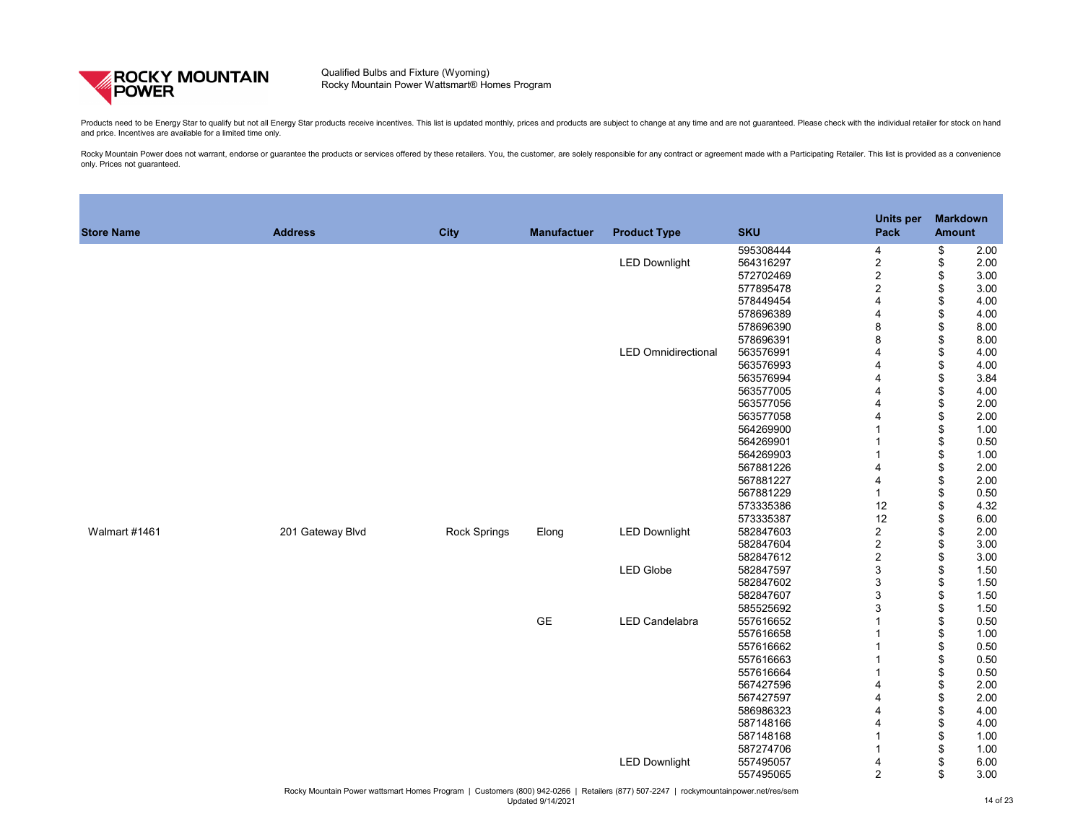

Products need to be Energy Star to qualify but not all Energy Star products receive incentives. This list is updated monthly, prices and products are subject to change at any time and are not guaranteed. Please check with and price. Incentives are available for a limited time only.

| roduct Type                | <b>SKU</b> | <b>Units per</b><br><b>Pack</b> | <b>Amount</b>                  | <b>Markdown</b> |
|----------------------------|------------|---------------------------------|--------------------------------|-----------------|
|                            |            |                                 |                                |                 |
|                            | 595308444  | 4                               | ֍֎֍֎֍֎֍֍֎֍֍֍֍֍֍֍֍֍֍֍֍֍֍֍֍֍֍֍   | 2.00            |
| <b>LED Downlight</b>       | 564316297  | $\overline{2}$                  |                                | 2.00            |
|                            | 572702469  | $\overline{2}$                  |                                | 3.00            |
|                            | 577895478  | $\overline{2}$                  |                                | 3.00            |
|                            | 578449454  | 4                               |                                | 4.00            |
|                            | 578696389  | 4                               |                                | 4.00            |
|                            | 578696390  | 8                               |                                | 8.00            |
|                            | 578696391  | 8                               |                                | 8.00            |
| <b>LED Omnidirectional</b> | 563576991  | 4                               |                                | 4.00            |
|                            | 563576993  | 4                               |                                | 4.00            |
|                            | 563576994  | 4                               |                                | 3.84            |
|                            | 563577005  | 4                               |                                | 4.00            |
|                            | 563577056  | 4                               |                                | 2.00            |
|                            | 563577058  | 4                               |                                | 2.00            |
|                            | 564269900  | 1                               |                                | 1.00            |
|                            | 564269901  | 1                               |                                | 0.50            |
|                            | 564269903  | 1                               |                                | 1.00            |
|                            | 567881226  | 4                               |                                | 2.00            |
|                            | 567881227  | 4                               |                                | 2.00            |
|                            | 567881229  | 1                               |                                | 0.50            |
|                            | 573335386  | 12                              |                                | 4.32            |
|                            | 573335387  | 12                              |                                | 6.00            |
| <b>LED Downlight</b>       | 582847603  | $\overline{2}$                  |                                | 2.00            |
|                            | 582847604  | $\overline{2}$                  |                                | 3.00            |
|                            | 582847612  | $\overline{2}$                  |                                | 3.00            |
| <b>LED Globe</b>           | 582847597  | 3                               |                                | 1.50            |
|                            | 582847602  | 3                               |                                | 1.50            |
|                            | 582847607  | 3                               |                                | 1.50            |
|                            | 585525692  | 3                               | \$                             | 1.50            |
| LED Candelabra             | 557616652  | 1                               |                                | 0.50            |
|                            | 557616658  | 1                               |                                | 1.00            |
|                            | 557616662  | 1                               |                                | 0.50            |
|                            | 557616663  | 1                               |                                | 0.50            |
|                            | 557616664  | 1                               |                                | 0.50            |
|                            | 567427596  | 4                               |                                | 2.00            |
|                            | 567427597  | 4                               |                                | 2.00            |
|                            | 586986323  | 4                               |                                | 4.00            |
|                            | 587148166  | 4                               |                                | 4.00            |
|                            | 587148168  | 1                               |                                | 1.00            |
|                            | 587274706  | 1                               |                                | 1.00            |
| <b>LED Downlight</b>       | 557495057  | 4                               |                                | 6.00            |
|                            | 557495065  | $\overline{2}$                  | \$\$\$\$\$\$\$\$\$\$\$\$\$\$\$ | 3.00            |

| <b>Store Name</b> | <b>Address</b>                                                                                                                      | <b>City</b>         | <b>Manufactuer</b> | <b>Product Type</b>        | <b>SKU</b> | Units per<br>Pack | <b>Markdown</b><br><b>Amount</b> |      |
|-------------------|-------------------------------------------------------------------------------------------------------------------------------------|---------------------|--------------------|----------------------------|------------|-------------------|----------------------------------|------|
|                   |                                                                                                                                     |                     |                    |                            | 595308444  |                   | \$                               | 2.00 |
|                   |                                                                                                                                     |                     |                    | <b>LED Downlight</b>       | 564316297  | $\overline{2}$    | \$                               | 2.00 |
|                   |                                                                                                                                     |                     |                    |                            | 572702469  | $\overline{2}$    |                                  | 3.00 |
|                   |                                                                                                                                     |                     |                    |                            | 577895478  | $\overline{2}$    |                                  | 3.00 |
|                   |                                                                                                                                     |                     |                    |                            | 578449454  |                   |                                  | 4.00 |
|                   |                                                                                                                                     |                     |                    |                            | 578696389  |                   |                                  | 4.00 |
|                   |                                                                                                                                     |                     |                    |                            | 578696390  | 8                 |                                  | 8.00 |
|                   |                                                                                                                                     |                     |                    |                            | 578696391  | 8                 |                                  | 8.00 |
|                   |                                                                                                                                     |                     |                    | <b>LED Omnidirectional</b> | 563576991  |                   |                                  | 4.00 |
|                   |                                                                                                                                     |                     |                    |                            | 563576993  |                   |                                  | 4.00 |
|                   |                                                                                                                                     |                     |                    |                            | 563576994  |                   |                                  | 3.84 |
|                   |                                                                                                                                     |                     |                    |                            | 563577005  |                   |                                  | 4.00 |
|                   |                                                                                                                                     |                     |                    |                            | 563577056  |                   |                                  | 2.00 |
|                   |                                                                                                                                     |                     |                    |                            | 563577058  |                   |                                  | 2.00 |
|                   |                                                                                                                                     |                     |                    |                            | 564269900  |                   |                                  | 1.00 |
|                   |                                                                                                                                     |                     |                    |                            | 564269901  |                   |                                  | 0.50 |
|                   |                                                                                                                                     |                     |                    |                            | 564269903  |                   |                                  | 1.00 |
|                   |                                                                                                                                     |                     |                    |                            | 567881226  |                   |                                  | 2.00 |
|                   |                                                                                                                                     |                     |                    |                            | 567881227  |                   |                                  | 2.00 |
|                   |                                                                                                                                     |                     |                    |                            | 567881229  |                   |                                  | 0.50 |
|                   |                                                                                                                                     |                     |                    |                            | 573335386  | 12                |                                  | 4.32 |
|                   |                                                                                                                                     |                     |                    |                            | 573335387  | 12                |                                  | 6.00 |
| Walmart #1461     | 201 Gateway Blvd                                                                                                                    | <b>Rock Springs</b> | Elong              | <b>LED Downlight</b>       | 582847603  | $\overline{2}$    |                                  | 2.00 |
|                   |                                                                                                                                     |                     |                    |                            | 582847604  | $\overline{2}$    |                                  | 3.00 |
|                   |                                                                                                                                     |                     |                    |                            | 582847612  | $\overline{2}$    |                                  | 3.00 |
|                   |                                                                                                                                     |                     |                    | <b>LED Globe</b>           | 582847597  | 3                 |                                  | 1.50 |
|                   |                                                                                                                                     |                     |                    |                            | 582847602  | 3                 |                                  | 1.50 |
|                   |                                                                                                                                     |                     |                    |                            | 582847607  | 3                 |                                  | 1.50 |
|                   |                                                                                                                                     |                     |                    |                            | 585525692  | 3                 |                                  | 1.50 |
|                   |                                                                                                                                     |                     | <b>GE</b>          | <b>LED Candelabra</b>      | 557616652  |                   |                                  | 0.50 |
|                   |                                                                                                                                     |                     |                    |                            | 557616658  |                   |                                  | 1.00 |
|                   |                                                                                                                                     |                     |                    |                            | 557616662  |                   |                                  | 0.50 |
|                   |                                                                                                                                     |                     |                    |                            | 557616663  |                   |                                  | 0.50 |
|                   |                                                                                                                                     |                     |                    |                            | 557616664  |                   |                                  | 0.50 |
|                   |                                                                                                                                     |                     |                    |                            | 567427596  |                   |                                  | 2.00 |
|                   |                                                                                                                                     |                     |                    |                            | 567427597  |                   |                                  | 2.00 |
|                   |                                                                                                                                     |                     |                    |                            | 586986323  |                   |                                  | 4.00 |
|                   |                                                                                                                                     |                     |                    |                            | 587148166  |                   |                                  | 4.00 |
|                   |                                                                                                                                     |                     |                    |                            | 587148168  |                   |                                  | 1.00 |
|                   |                                                                                                                                     |                     |                    |                            | 587274706  |                   |                                  | 1.00 |
|                   |                                                                                                                                     |                     |                    | <b>LED Downlight</b>       | 557495057  |                   |                                  | 6.00 |
|                   |                                                                                                                                     |                     |                    |                            | 557495065  | $\overline{2}$    | \$                               | 3.00 |
|                   | Rocky Mountain Power wattsmart Homes Program   Customers (800) 942-0266   Retailers (877) 507-2247   rockymountainpower.net/res/sem |                     |                    |                            |            |                   |                                  |      |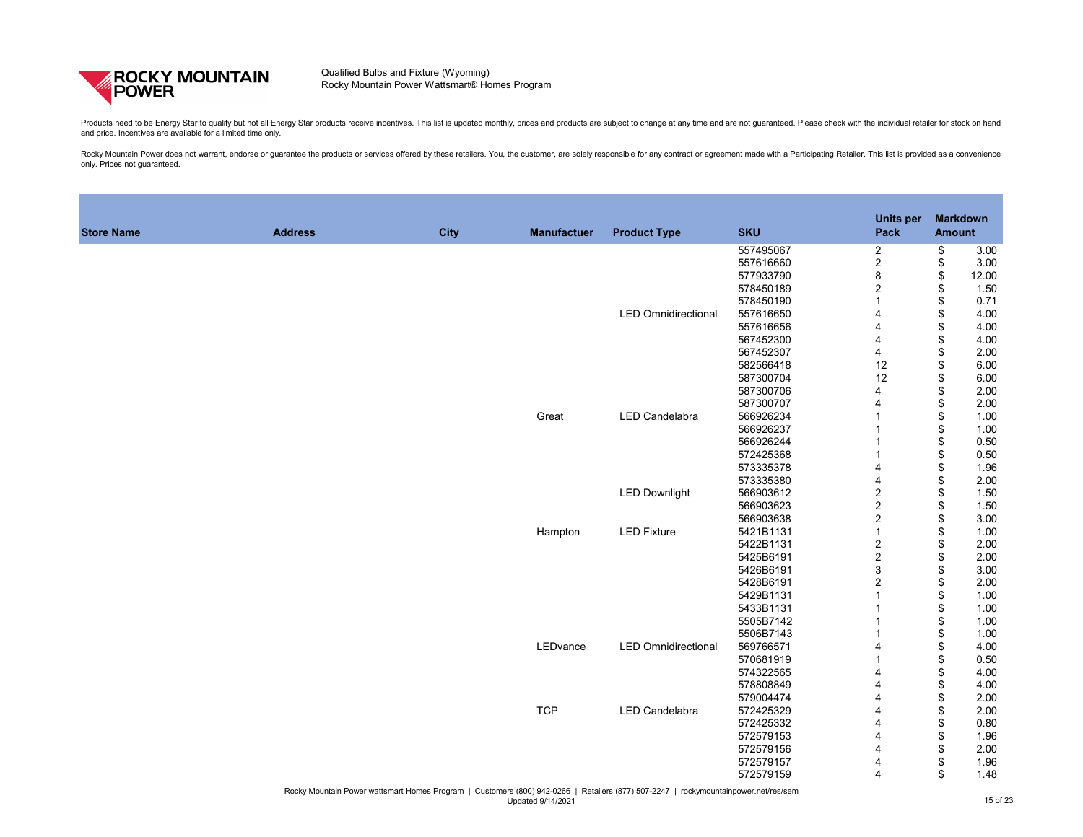

Products need to be Energy Star to qualify but not all Energy Star products receive incentives. This list is updated monthly, prices and products are subject to change at any time and are not guaranteed. Please check with and price. Incentives are available for a limited time only.

| <b>Store Name</b> | <b>Address</b> | <b>City</b> | <b>Manufactuer</b> | <b>Product Type</b>                                                                                                                 | <b>SKU</b>             | <b>Units per</b><br><b>Pack</b> | <b>Amount</b>              | <b>Markdown</b> |
|-------------------|----------------|-------------|--------------------|-------------------------------------------------------------------------------------------------------------------------------------|------------------------|---------------------------------|----------------------------|-----------------|
|                   |                |             |                    |                                                                                                                                     | 557495067              | $\overline{2}$                  | \$                         | 3.00            |
|                   |                |             |                    |                                                                                                                                     | 557616660              | $\overline{c}$                  | $\boldsymbol{\theta}$      | 3.00            |
|                   |                |             |                    |                                                                                                                                     | 577933790              | 8                               | \$                         | 12.00           |
|                   |                |             |                    |                                                                                                                                     | 578450189              | $\overline{2}$                  | \$                         | 1.50            |
|                   |                |             |                    |                                                                                                                                     | 578450190              |                                 | \$                         | 0.71            |
|                   |                |             |                    | <b>LED Omnidirectional</b>                                                                                                          | 557616650              | 4                               | \$                         | 4.00            |
|                   |                |             |                    |                                                                                                                                     | 557616656              | 4                               | \$                         | 4.00            |
|                   |                |             |                    |                                                                                                                                     | 567452300              | 4                               | \$                         | 4.00            |
|                   |                |             |                    |                                                                                                                                     | 567452307              | $\overline{4}$                  | \$                         | 2.00            |
|                   |                |             |                    |                                                                                                                                     | 582566418              | 12                              | \$                         | 6.00            |
|                   |                |             |                    |                                                                                                                                     | 587300704              | 12                              | \$                         | 6.00            |
|                   |                |             |                    |                                                                                                                                     | 587300706              | 4                               | \$                         | 2.00            |
|                   |                |             |                    |                                                                                                                                     | 587300707              | 4                               | \$                         | 2.00            |
|                   |                |             | Great              | <b>LED Candelabra</b>                                                                                                               | 566926234              |                                 | \$                         | 1.00            |
|                   |                |             |                    |                                                                                                                                     | 566926237              |                                 | \$                         | 1.00            |
|                   |                |             |                    |                                                                                                                                     | 566926244              |                                 | \$                         | 0.50            |
|                   |                |             |                    |                                                                                                                                     | 572425368              |                                 | \$                         | 0.50            |
|                   |                |             |                    |                                                                                                                                     | 573335378              | 4                               | $\boldsymbol{\theta}$      | 1.96            |
|                   |                |             |                    |                                                                                                                                     | 573335380              | $\overline{4}$                  | \$                         | 2.00            |
|                   |                |             |                    | <b>LED Downlight</b>                                                                                                                | 566903612              | $\overline{\mathbf{c}}$         | \$                         | 1.50            |
|                   |                |             |                    |                                                                                                                                     | 566903623              | $\overline{2}$                  | \$                         | 1.50            |
|                   |                |             |                    |                                                                                                                                     |                        | $\overline{2}$                  | \$                         |                 |
|                   |                |             |                    |                                                                                                                                     | 566903638<br>5421B1131 |                                 |                            | 3.00            |
|                   |                |             | Hampton            | <b>LED Fixture</b>                                                                                                                  |                        |                                 | $\boldsymbol{\theta}$      | 1.00            |
|                   |                |             |                    |                                                                                                                                     | 5422B1131              | $\overline{\mathbf{c}}$         | \$                         | 2.00            |
|                   |                |             |                    |                                                                                                                                     | 5425B6191              | $\boldsymbol{2}$                | \$                         | 2.00            |
|                   |                |             |                    |                                                                                                                                     | 5426B6191              | $\ensuremath{\mathsf{3}}$       | \$                         | 3.00            |
|                   |                |             |                    |                                                                                                                                     | 5428B6191              | $\overline{2}$                  |                            | 2.00            |
|                   |                |             |                    |                                                                                                                                     | 5429B1131              |                                 |                            | 1.00            |
|                   |                |             |                    |                                                                                                                                     | 5433B1131              |                                 | $\boldsymbol{\mathsf{\$}}$ | 1.00            |
|                   |                |             |                    |                                                                                                                                     | 5505B7142              |                                 | \$                         | 1.00            |
|                   |                |             |                    |                                                                                                                                     | 5506B7143              |                                 |                            | 1.00            |
|                   |                |             | LEDvance           | <b>LED Omnidirectional</b>                                                                                                          | 569766571              |                                 |                            | 4.00            |
|                   |                |             |                    |                                                                                                                                     | 570681919              |                                 |                            | 0.50            |
|                   |                |             |                    |                                                                                                                                     | 574322565              |                                 |                            | 4.00            |
|                   |                |             |                    |                                                                                                                                     | 578808849              |                                 |                            | 4.00            |
|                   |                |             |                    |                                                                                                                                     | 579004474              |                                 |                            | 2.00            |
|                   |                |             | <b>TCP</b>         | <b>LED Candelabra</b>                                                                                                               | 572425329              |                                 |                            | 2.00            |
|                   |                |             |                    |                                                                                                                                     | 572425332              |                                 |                            | 0.80            |
|                   |                |             |                    |                                                                                                                                     | 572579153              |                                 |                            | 1.96            |
|                   |                |             |                    |                                                                                                                                     | 572579156              |                                 |                            | 2.00            |
|                   |                |             |                    |                                                                                                                                     | 572579157              | 4                               | \$                         | 1.96            |
|                   |                |             |                    |                                                                                                                                     | 572579159              | 4                               | \$                         | 1.48            |
|                   |                |             | Updated 9/14/2021  | Rocky Mountain Power wattsmart Homes Program   Customers (800) 942-0266   Retailers (877) 507-2247   rockymountainpower.net/res/sem |                        |                                 |                            | 15 of 23        |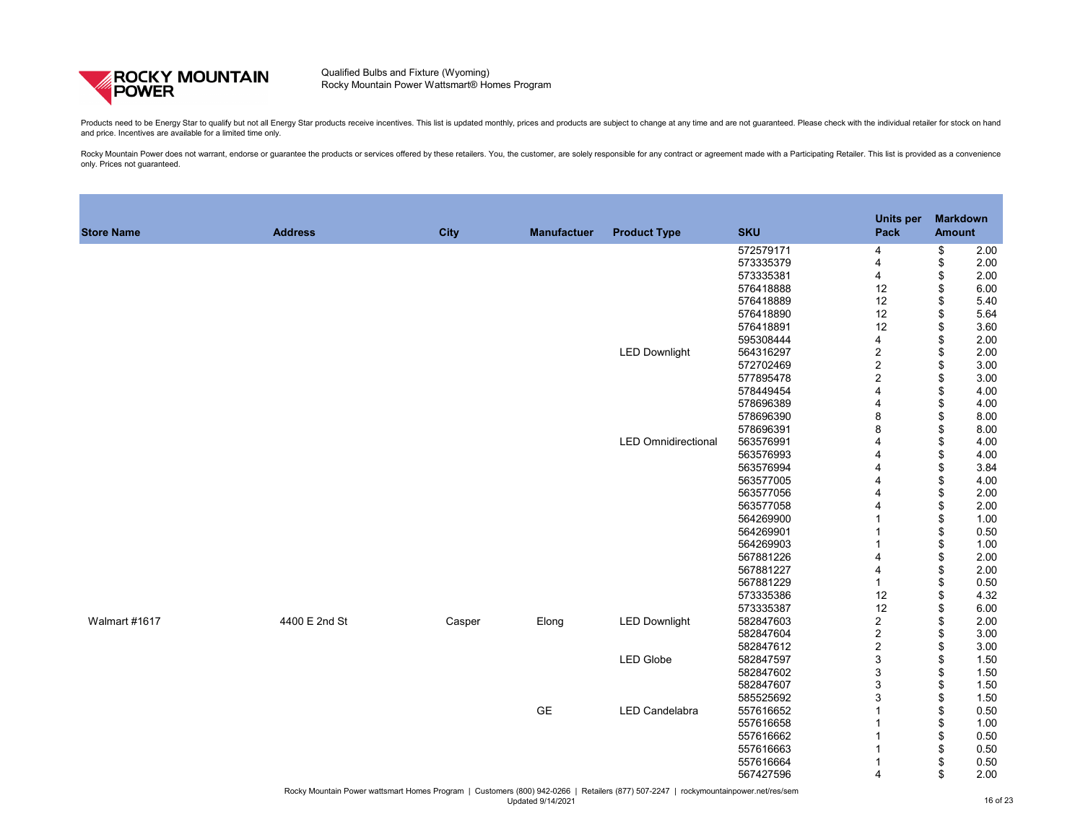

Products need to be Energy Star to qualify but not all Energy Star products receive incentives. This list is updated monthly, prices and products are subject to change at any time and are not guaranteed. Please check with and price. Incentives are available for a limited time only.

| <b>Store Name</b> | <b>Address</b> | <b>City</b> | <b>Manufactuer</b> | <b>Product Type</b>        | <b>SKU</b>             | <b>Units per</b><br><b>Pack</b> | <b>Amount</b>         | <b>Markdown</b> |
|-------------------|----------------|-------------|--------------------|----------------------------|------------------------|---------------------------------|-----------------------|-----------------|
|                   |                |             |                    |                            | 572579171              | 4                               | \$                    | 2.00            |
|                   |                |             |                    |                            | 573335379              | 4                               | \$                    | 2.00            |
|                   |                |             |                    |                            | 573335381              | $\overline{4}$                  | \$                    | 2.00            |
|                   |                |             |                    |                            | 576418888              | 12                              | \$                    | 6.00            |
|                   |                |             |                    |                            | 576418889              | 12                              | \$                    | 5.40            |
|                   |                |             |                    |                            | 576418890              | 12                              | \$                    | 5.64            |
|                   |                |             |                    |                            | 576418891              | 12                              | \$                    | 3.60            |
|                   |                |             |                    |                            | 595308444              | $\overline{4}$                  | \$                    | 2.00            |
|                   |                |             |                    | <b>LED Downlight</b>       | 564316297              | $\overline{2}$                  | \$                    | 2.00            |
|                   |                |             |                    |                            | 572702469              | $\mathbf{2}$                    | \$                    | 3.00            |
|                   |                |             |                    |                            | 577895478              | $\overline{2}$                  | \$                    | 3.00            |
|                   |                |             |                    |                            | 578449454              | 4                               | \$                    | 4.00            |
|                   |                |             |                    |                            | 578696389              | 4                               | \$                    | 4.00            |
|                   |                |             |                    |                            | 578696390              | $\bf 8$                         | \$                    | 8.00            |
|                   |                |             |                    |                            | 578696391              | $\bf 8$                         | \$                    | 8.00            |
|                   |                |             |                    | <b>LED Omnidirectional</b> | 563576991              | 4                               | \$                    | 4.00            |
|                   |                |             |                    |                            | 563576993              | 4                               | \$                    | 4.00            |
|                   |                |             |                    |                            | 563576994              | 4                               | \$                    | 3.84            |
|                   |                |             |                    |                            | 563577005              | 4                               | \$                    | 4.00            |
|                   |                |             |                    |                            | 563577056              | 4                               | \$                    | 2.00            |
|                   |                |             |                    |                            | 563577058              | 4                               | \$                    | 2.00            |
|                   |                |             |                    |                            | 564269900              |                                 | \$                    | 1.00            |
|                   |                |             |                    |                            | 564269901              |                                 | \$                    | 0.50            |
|                   |                |             |                    |                            | 564269903              |                                 | \$                    | 1.00            |
|                   |                |             |                    |                            | 567881226              | 4                               | \$                    | 2.00            |
|                   |                |             |                    |                            | 567881227              | 4                               | \$                    | 2.00            |
|                   |                |             |                    |                            | 567881229              |                                 |                       | 0.50            |
|                   |                |             |                    |                            | 573335386              | 12                              | \$                    | 4.32            |
|                   |                |             |                    |                            | 573335387              | 12                              | \$                    | 6.00            |
| Walmart #1617     | 4400 E 2nd St  | Casper      | Elong              | <b>LED Downlight</b>       | 582847603              | $\overline{2}$                  | \$                    | 2.00            |
|                   |                |             |                    |                            | 582847604              | $\overline{c}$                  | \$                    | 3.00            |
|                   |                |             |                    |                            | 582847612<br>582847597 | $\mathbf{2}$<br>$\sqrt{3}$      |                       | 3.00            |
|                   |                |             |                    | <b>LED Globe</b>           | 582847602              | $\sqrt{3}$                      | \$                    | 1.50<br>1.50    |
|                   |                |             |                    |                            | 582847607              | $\sqrt{3}$                      |                       | 1.50            |
|                   |                |             |                    |                            | 585525692              | 3                               |                       | 1.50            |
|                   |                |             | <b>GE</b>          | <b>LED Candelabra</b>      | 557616652              |                                 |                       | 0.50            |
|                   |                |             |                    |                            | 557616658              |                                 | \$                    | 1.00            |
|                   |                |             |                    |                            | 557616662              |                                 | $\boldsymbol{\theta}$ | 0.50            |
|                   |                |             |                    |                            | 557616663              |                                 | \$                    | 0.50            |
|                   |                |             |                    |                            | 557616664              |                                 | $\boldsymbol{\$}$     | 0.50            |
|                   |                |             |                    |                            | 567427596              | 4                               | $\boldsymbol{\theta}$ | 2.00            |
|                   |                |             |                    |                            |                        |                                 |                       |                 |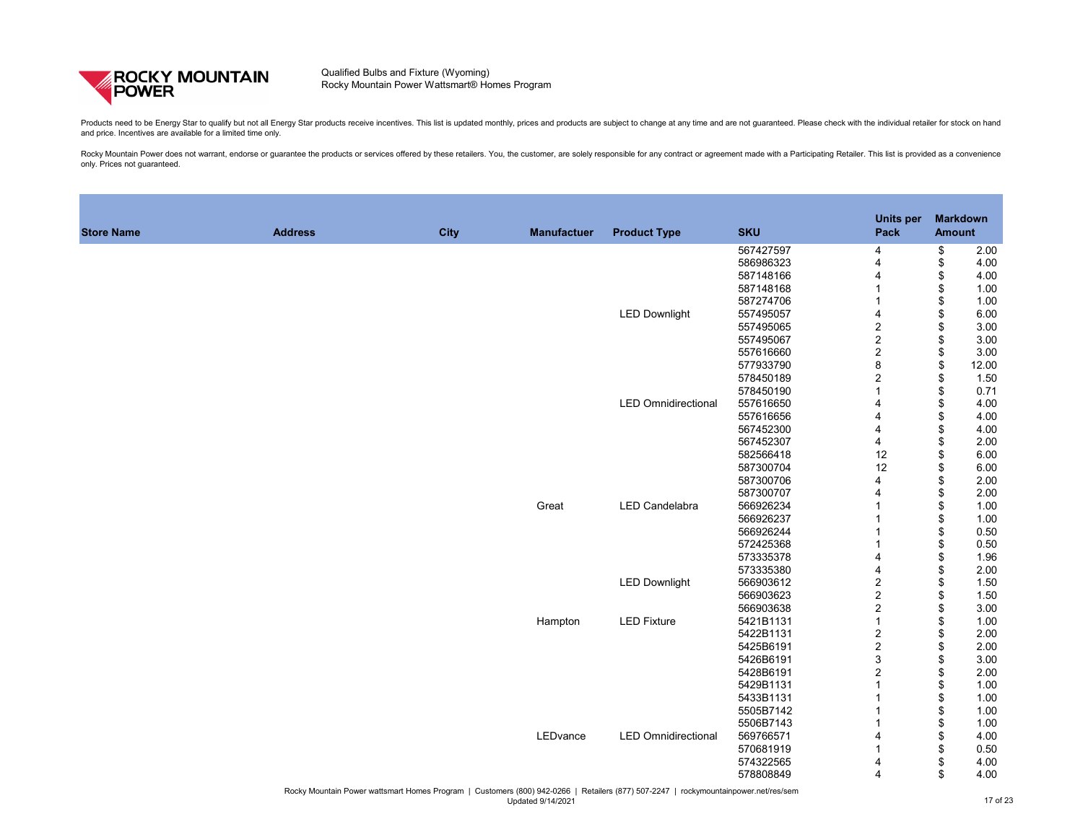

Products need to be Energy Star to qualify but not all Energy Star products receive incentives. This list is updated monthly, prices and products are subject to change at any time and are not guaranteed. Please check with and price. Incentives are available for a limited time only.

|                            |            | <b>Units per</b> | <b>Markdown</b><br><b>Amount</b>                                 |       |  |  |
|----------------------------|------------|------------------|------------------------------------------------------------------|-------|--|--|
| roduct Type                | <b>SKU</b> | <b>Pack</b>      |                                                                  |       |  |  |
|                            | 567427597  | 4                | \$                                                               | 2.00  |  |  |
|                            | 586986323  | 4                | \$                                                               | 4.00  |  |  |
|                            | 587148166  | 4                |                                                                  | 4.00  |  |  |
|                            | 587148168  | 1                |                                                                  | 1.00  |  |  |
|                            | 587274706  | 1                |                                                                  | 1.00  |  |  |
| <b>LED Downlight</b>       | 557495057  | 4                |                                                                  | 6.00  |  |  |
|                            | 557495065  | $\overline{2}$   |                                                                  | 3.00  |  |  |
|                            | 557495067  | $\overline{2}$   |                                                                  | 3.00  |  |  |
|                            | 557616660  | $\overline{2}$   |                                                                  | 3.00  |  |  |
|                            | 577933790  | 8                |                                                                  | 12.00 |  |  |
|                            | 578450189  | $\overline{2}$   |                                                                  | 1.50  |  |  |
|                            | 578450190  | $\mathbf 1$      |                                                                  | 0.71  |  |  |
| <b>LED Omnidirectional</b> | 557616650  | 4                |                                                                  | 4.00  |  |  |
|                            | 557616656  | 4                |                                                                  | 4.00  |  |  |
|                            | 567452300  | 4                |                                                                  | 4.00  |  |  |
|                            | 567452307  | 4                |                                                                  | 2.00  |  |  |
|                            | 582566418  | 12               |                                                                  | 6.00  |  |  |
|                            | 587300704  | 12               |                                                                  | 6.00  |  |  |
|                            | 587300706  | 4                |                                                                  | 2.00  |  |  |
|                            | 587300707  | 4                |                                                                  | 2.00  |  |  |
| <b>LED Candelabra</b>      | 566926234  | 1                | \$\$\$\$\$\$\$\$\$\$\$\$\$\$\$\$\$\$\$\$\$\$\$\$\$\$\$\$\$\$\$\$ | 1.00  |  |  |
|                            | 566926237  | 1                |                                                                  | 1.00  |  |  |
|                            | 566926244  | 1                |                                                                  | 0.50  |  |  |
|                            | 572425368  | 1                |                                                                  | 0.50  |  |  |
|                            | 573335378  | 4                |                                                                  | 1.96  |  |  |
|                            | 573335380  | 4                |                                                                  | 2.00  |  |  |
| <b>LED Downlight</b>       | 566903612  | $\overline{2}$   |                                                                  | 1.50  |  |  |
|                            | 566903623  | $\overline{2}$   |                                                                  | 1.50  |  |  |
|                            | 566903638  | $\overline{2}$   |                                                                  | 3.00  |  |  |
| <b>LED Fixture</b>         | 5421B1131  | 1                |                                                                  | 1.00  |  |  |
|                            | 5422B1131  | $\overline{2}$   |                                                                  | 2.00  |  |  |
|                            | 5425B6191  | $\overline{2}$   |                                                                  | 2.00  |  |  |
|                            | 5426B6191  | 3                |                                                                  | 3.00  |  |  |
|                            | 5428B6191  | $\overline{2}$   |                                                                  | 2.00  |  |  |
|                            | 5429B1131  | $\mathbf 1$      |                                                                  | 1.00  |  |  |
|                            | 5433B1131  | 1                |                                                                  | 1.00  |  |  |
|                            | 5505B7142  | 1                | ୫୫୫ <del>୯୫ ୧୫ ୧୫ ୧୫ ୧୫ ୧୫ ୧୫ ୧</del> ୫ <del>୧</del> ୫           | 1.00  |  |  |
|                            | 5506B7143  | 1                |                                                                  | 1.00  |  |  |
| <b>LED Omnidirectional</b> | 569766571  | 4                |                                                                  | 4.00  |  |  |
|                            | 570681919  | 1                |                                                                  | 0.50  |  |  |
|                            | 574322565  | 4                |                                                                  | 4.00  |  |  |
|                            | 578808849  | 4                |                                                                  | 4.00  |  |  |
|                            |            |                  |                                                                  |       |  |  |

| <b>Store Name</b> | <b>Address</b> | <b>City</b> | <b>Manufactuer</b> | <b>Product Type</b>                                                                                                                 | <b>SKU</b>             | <b>Units per</b><br><b>Pack</b> | <b>Markdown</b><br><b>Amount</b> |              |
|-------------------|----------------|-------------|--------------------|-------------------------------------------------------------------------------------------------------------------------------------|------------------------|---------------------------------|----------------------------------|--------------|
|                   |                |             |                    |                                                                                                                                     | 567427597              | 4                               | \$                               | 2.00         |
|                   |                |             |                    |                                                                                                                                     | 586986323              | $\overline{4}$                  | \$                               | 4.00         |
|                   |                |             |                    |                                                                                                                                     | 587148166              | 4                               | \$                               | 4.00         |
|                   |                |             |                    |                                                                                                                                     | 587148168              |                                 | $\boldsymbol{\mathsf{\$}}$       | 1.00         |
|                   |                |             |                    |                                                                                                                                     | 587274706              |                                 | \$                               | 1.00         |
|                   |                |             |                    | <b>LED Downlight</b>                                                                                                                | 557495057              | 4                               | \$                               | 6.00         |
|                   |                |             |                    |                                                                                                                                     | 557495065              | $\overline{2}$                  | \$                               | 3.00         |
|                   |                |             |                    |                                                                                                                                     | 557495067              | $\overline{c}$                  | \$                               | 3.00         |
|                   |                |             |                    |                                                                                                                                     | 557616660              | $\overline{c}$                  | \$                               | 3.00         |
|                   |                |             |                    |                                                                                                                                     | 577933790              | $\bf 8$                         | \$                               | 12.00        |
|                   |                |             |                    |                                                                                                                                     | 578450189              | $\mathbf{2}$                    | \$                               | 1.50         |
|                   |                |             |                    |                                                                                                                                     | 578450190              |                                 | \$                               | 0.71         |
|                   |                |             |                    | <b>LED Omnidirectional</b>                                                                                                          | 557616650              | 4                               | \$                               | 4.00         |
|                   |                |             |                    |                                                                                                                                     | 557616656              | 4                               | \$                               | 4.00         |
|                   |                |             |                    |                                                                                                                                     | 567452300              | 4                               | \$                               | 4.00         |
|                   |                |             |                    |                                                                                                                                     | 567452307              | 4                               | \$                               | 2.00         |
|                   |                |             |                    |                                                                                                                                     | 582566418              | 12                              | $\boldsymbol{\mathsf{\$}}$       | 6.00         |
|                   |                |             |                    |                                                                                                                                     | 587300704              | 12                              | \$                               | 6.00         |
|                   |                |             |                    |                                                                                                                                     | 587300706              | 4                               | \$                               | 2.00         |
|                   |                |             |                    |                                                                                                                                     | 587300707              | 4                               | \$                               | 2.00         |
|                   |                |             | Great              | LED Candelabra                                                                                                                      | 566926234              |                                 | \$                               | 1.00         |
|                   |                |             |                    |                                                                                                                                     | 566926237              |                                 |                                  | 1.00         |
|                   |                |             |                    |                                                                                                                                     | 566926244              |                                 | \$                               | 0.50         |
|                   |                |             |                    |                                                                                                                                     | 572425368              |                                 | \$                               | 0.50         |
|                   |                |             |                    |                                                                                                                                     | 573335378              |                                 | \$                               | 1.96         |
|                   |                |             |                    |                                                                                                                                     | 573335380              | 4                               | \$                               | 2.00         |
|                   |                |             |                    | <b>LED Downlight</b>                                                                                                                | 566903612              | $\overline{c}$                  |                                  | 1.50         |
|                   |                |             |                    |                                                                                                                                     | 566903623              | $\overline{2}$                  | \$                               | 1.50         |
|                   |                |             |                    |                                                                                                                                     | 566903638              | $\overline{2}$                  | \$                               | 3.00         |
|                   |                |             | Hampton            | <b>LED Fixture</b>                                                                                                                  | 5421B1131              |                                 | \$                               | 1.00         |
|                   |                |             |                    |                                                                                                                                     | 5422B1131              | $\overline{c}$                  | \$                               | 2.00         |
|                   |                |             |                    |                                                                                                                                     | 5425B6191              | $\overline{2}$                  |                                  | 2.00         |
|                   |                |             |                    |                                                                                                                                     | 5426B6191              | $\sqrt{3}$                      |                                  | 3.00         |
|                   |                |             |                    |                                                                                                                                     | 5428B6191              | $\overline{c}$                  | \$                               | 2.00         |
|                   |                |             |                    |                                                                                                                                     | 5429B1131              |                                 |                                  | 1.00         |
|                   |                |             |                    |                                                                                                                                     | 5433B1131              |                                 |                                  | 1.00         |
|                   |                |             |                    |                                                                                                                                     | 5505B7142              |                                 |                                  | 1.00         |
|                   |                |             |                    |                                                                                                                                     | 5506B7143              |                                 |                                  | 1.00         |
|                   |                |             | LEDvance           | <b>LED Omnidirectional</b>                                                                                                          | 569766571              |                                 | \$                               | 4.00         |
|                   |                |             |                    |                                                                                                                                     | 570681919              |                                 |                                  | 0.50         |
|                   |                |             |                    |                                                                                                                                     | 574322565<br>578808849 | 4                               | \$<br>$\$\$                      | 4.00<br>4.00 |
|                   |                |             |                    |                                                                                                                                     |                        |                                 |                                  |              |
|                   |                |             | Updated 9/14/2021  | Rocky Mountain Power wattsmart Homes Program   Customers (800) 942-0266   Retailers (877) 507-2247   rockymountainpower.net/res/sem |                        |                                 |                                  | 17 of 23     |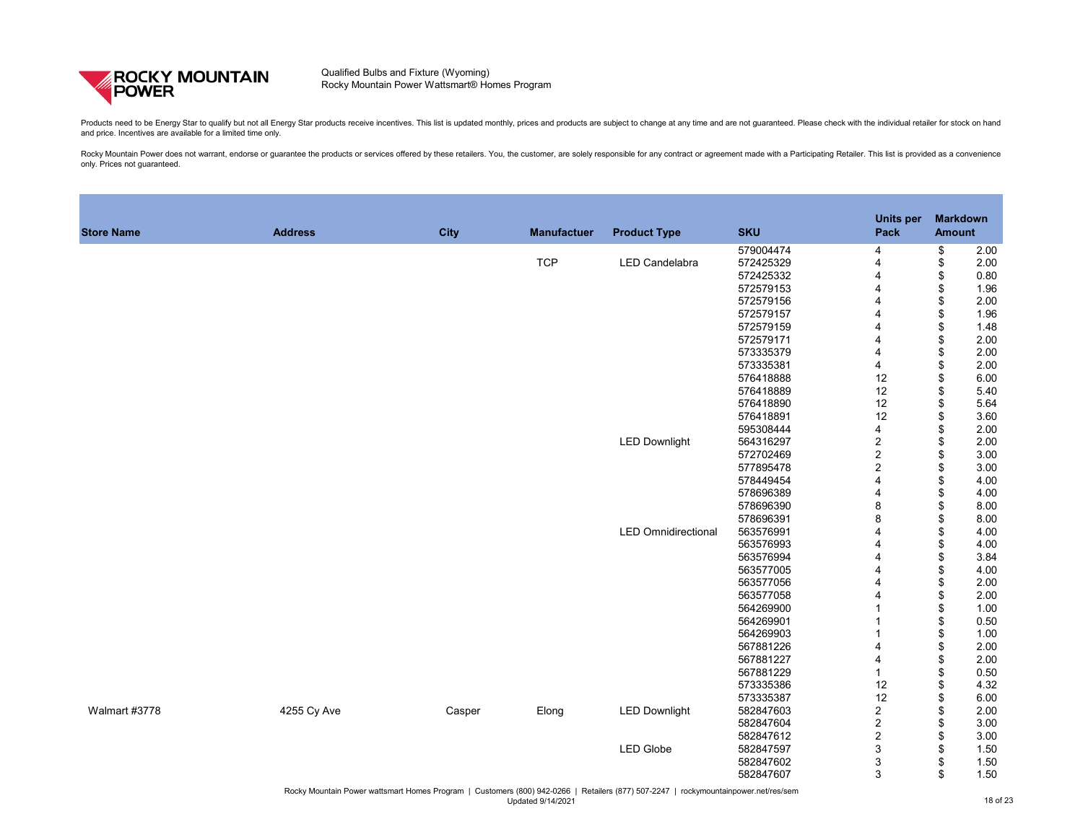

Products need to be Energy Star to qualify but not all Energy Star products receive incentives. This list is updated monthly, prices and products are subject to change at any time and are not guaranteed. Please check with and price. Incentives are available for a limited time only.

| <b>Store Name</b> | <b>Address</b> | <b>City</b> | <b>Manufactuer</b> | <b>Product Type</b>        | <b>SKU</b> | <b>Units per</b><br><b>Pack</b> | <b>Markdown</b><br><b>Amount</b> |      |
|-------------------|----------------|-------------|--------------------|----------------------------|------------|---------------------------------|----------------------------------|------|
|                   |                |             |                    |                            | 579004474  | $\overline{4}$                  | \$                               | 2.00 |
|                   |                |             | <b>TCP</b>         | <b>LED Candelabra</b>      | 572425329  |                                 | \$                               | 2.00 |
|                   |                |             |                    |                            | 572425332  |                                 | \$                               | 0.80 |
|                   |                |             |                    |                            | 572579153  | 4                               |                                  | 1.96 |
|                   |                |             |                    |                            | 572579156  |                                 |                                  | 2.00 |
|                   |                |             |                    |                            | 572579157  |                                 |                                  | 1.96 |
|                   |                |             |                    |                            | 572579159  |                                 |                                  | 1.48 |
|                   |                |             |                    |                            | 572579171  |                                 |                                  | 2.00 |
|                   |                |             |                    |                            | 573335379  | 4                               |                                  | 2.00 |
|                   |                |             |                    |                            | 573335381  | 4                               |                                  | 2.00 |
|                   |                |             |                    |                            | 576418888  | 12                              |                                  | 6.00 |
|                   |                |             |                    |                            | 576418889  | 12                              |                                  | 5.40 |
|                   |                |             |                    |                            | 576418890  | 12                              | \$                               | 5.64 |
|                   |                |             |                    |                            | 576418891  | 12                              | \$                               | 3.60 |
|                   |                |             |                    |                            | 595308444  | 4                               |                                  | 2.00 |
|                   |                |             |                    | <b>LED Downlight</b>       | 564316297  | $\overline{2}$                  |                                  | 2.00 |
|                   |                |             |                    |                            | 572702469  | $\overline{2}$                  |                                  | 3.00 |
|                   |                |             |                    |                            | 577895478  | $\overline{2}$                  |                                  | 3.00 |
|                   |                |             |                    |                            | 578449454  | 4                               |                                  | 4.00 |
|                   |                |             |                    |                            | 578696389  | 4                               |                                  | 4.00 |
|                   |                |             |                    |                            | 578696390  | 8                               |                                  | 8.00 |
|                   |                |             |                    |                            | 578696391  | 8                               |                                  | 8.00 |
|                   |                |             |                    | <b>LED Omnidirectional</b> | 563576991  |                                 |                                  | 4.00 |
|                   |                |             |                    |                            | 563576993  |                                 |                                  | 4.00 |
|                   |                |             |                    |                            | 563576994  |                                 |                                  | 3.84 |
|                   |                |             |                    |                            | 563577005  |                                 |                                  | 4.00 |
|                   |                |             |                    |                            | 563577056  |                                 |                                  | 2.00 |
|                   |                |             |                    |                            | 563577058  |                                 | \$                               | 2.00 |
|                   |                |             |                    |                            | 564269900  |                                 | \$                               | 1.00 |
|                   |                |             |                    |                            | 564269901  |                                 |                                  | 0.50 |
|                   |                |             |                    |                            | 564269903  |                                 |                                  | 1.00 |
|                   |                |             |                    |                            | 567881226  |                                 |                                  | 2.00 |
|                   |                |             |                    |                            | 567881227  |                                 |                                  |      |
|                   |                |             |                    |                            | 567881229  |                                 |                                  | 2.00 |
|                   |                |             |                    |                            |            |                                 |                                  | 0.50 |
|                   |                |             |                    |                            | 573335386  | 12                              |                                  | 4.32 |
|                   |                |             |                    |                            | 573335387  | 12                              |                                  | 6.00 |
| Walmart #3778     | 4255 Cy Ave    | Casper      | Elong              | <b>LED Downlight</b>       | 582847603  | $\overline{2}$                  |                                  | 2.00 |
|                   |                |             |                    |                            | 582847604  | $\overline{2}$                  |                                  | 3.00 |
|                   |                |             |                    |                            | 582847612  | $\overline{2}$                  |                                  | 3.00 |
|                   |                |             |                    | <b>LED Globe</b>           | 582847597  | $\ensuremath{\mathsf{3}}$       |                                  | 1.50 |
|                   |                |             |                    |                            | 582847602  | $\mathfrak{S}$                  | \$                               | 1.50 |
|                   |                |             |                    |                            | 582847607  | $\mathfrak{S}$                  | \$                               | 1.50 |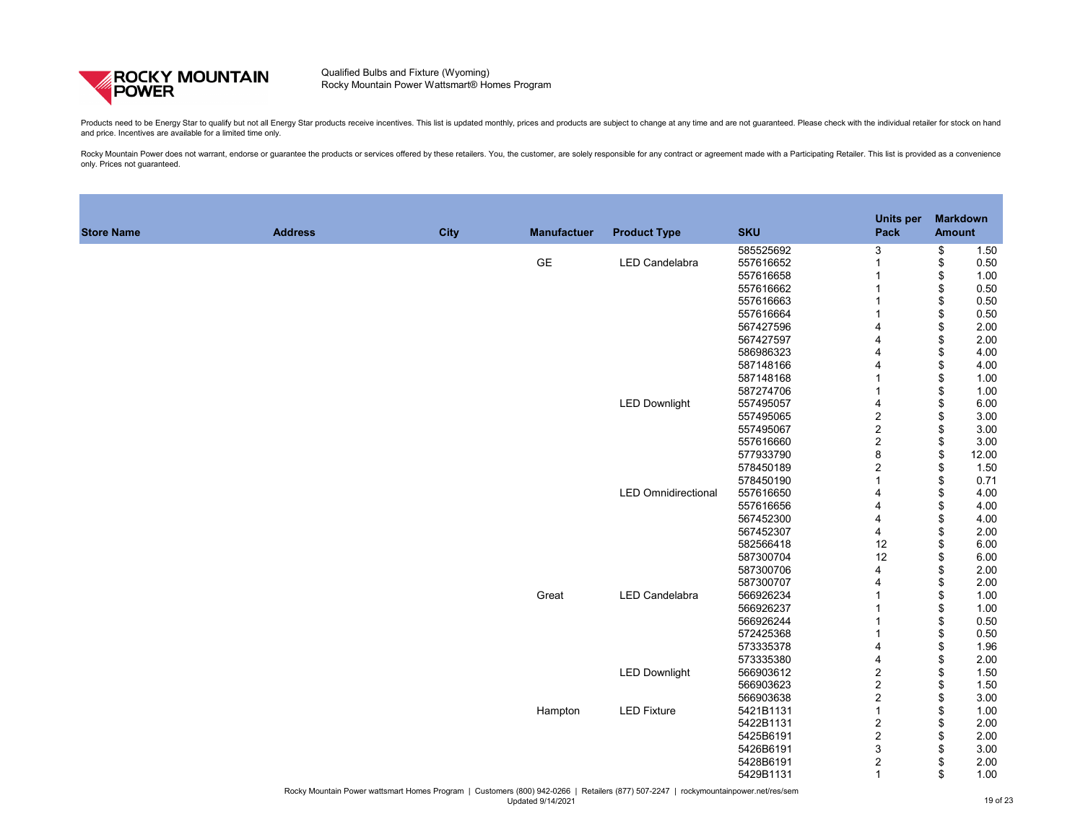

Products need to be Energy Star to qualify but not all Energy Star products receive incentives. This list is updated monthly, prices and products are subject to change at any time and are not guaranteed. Please check with and price. Incentives are available for a limited time only.

| <b>Store Name</b> | <b>Address</b> | <b>City</b> | <b>Manufactuer</b> | <b>Product Type</b>        | <b>SKU</b> | <b>Units per</b><br>Pack | <b>Markdown</b><br><b>Amount</b> |       |
|-------------------|----------------|-------------|--------------------|----------------------------|------------|--------------------------|----------------------------------|-------|
|                   |                |             |                    |                            | 585525692  | 3                        | \$                               | 1.50  |
|                   |                |             | <b>GE</b>          | <b>LED Candelabra</b>      | 557616652  |                          | \$                               | 0.50  |
|                   |                |             |                    |                            | 557616658  |                          | \$                               | 1.00  |
|                   |                |             |                    |                            | 557616662  |                          | \$                               | 0.50  |
|                   |                |             |                    |                            | 557616663  |                          | \$                               | 0.50  |
|                   |                |             |                    |                            | 557616664  |                          | \$                               | 0.50  |
|                   |                |             |                    |                            | 567427596  | 4                        | \$                               | 2.00  |
|                   |                |             |                    |                            | 567427597  | 4                        | \$                               | 2.00  |
|                   |                |             |                    |                            | 586986323  | 4                        | \$                               | 4.00  |
|                   |                |             |                    |                            | 587148166  |                          | \$                               | 4.00  |
|                   |                |             |                    |                            | 587148168  |                          | \$                               | 1.00  |
|                   |                |             |                    |                            | 587274706  |                          | \$                               | 1.00  |
|                   |                |             |                    | <b>LED Downlight</b>       | 557495057  | 4                        | \$                               | 6.00  |
|                   |                |             |                    |                            | 557495065  | $\overline{2}$           | \$                               | 3.00  |
|                   |                |             |                    |                            | 557495067  | $\overline{c}$           | \$                               | 3.00  |
|                   |                |             |                    |                            | 557616660  | $\overline{2}$           | \$                               | 3.00  |
|                   |                |             |                    |                            | 577933790  | 8                        | \$                               | 12.00 |
|                   |                |             |                    |                            | 578450189  | $\overline{2}$           | \$                               | 1.50  |
|                   |                |             |                    |                            | 578450190  |                          | \$                               | 0.71  |
|                   |                |             |                    | <b>LED Omnidirectional</b> | 557616650  | 4                        | \$                               | 4.00  |
|                   |                |             |                    |                            | 557616656  | 4                        | \$                               | 4.00  |
|                   |                |             |                    |                            | 567452300  | 4                        | \$                               | 4.00  |
|                   |                |             |                    |                            | 567452307  | 4                        | \$                               | 2.00  |
|                   |                |             |                    |                            | 582566418  | 12                       | \$                               | 6.00  |
|                   |                |             |                    |                            | 587300704  | 12                       | \$                               | 6.00  |
|                   |                |             |                    |                            | 587300706  | 4                        |                                  | 2.00  |
|                   |                |             |                    |                            | 587300707  | 4                        |                                  | 2.00  |
|                   |                |             | Great              | <b>LED Candelabra</b>      | 566926234  |                          | \$                               | 1.00  |
|                   |                |             |                    |                            | 566926237  |                          | \$                               | 1.00  |
|                   |                |             |                    |                            | 566926244  |                          | \$                               | 0.50  |
|                   |                |             |                    |                            | 572425368  |                          |                                  | 0.50  |
|                   |                |             |                    |                            | 573335378  |                          |                                  | 1.96  |
|                   |                |             |                    |                            | 573335380  | 4                        |                                  | 2.00  |
|                   |                |             |                    | <b>LED Downlight</b>       | 566903612  | $\overline{2}$           |                                  | 1.50  |
|                   |                |             |                    |                            | 566903623  | $\overline{2}$           |                                  | 1.50  |
|                   |                |             |                    |                            | 566903638  | $\overline{2}$           |                                  | 3.00  |
|                   |                |             | Hampton            | <b>LED Fixture</b>         | 5421B1131  |                          |                                  | 1.00  |
|                   |                |             |                    |                            | 5422B1131  | $\overline{2}$           |                                  | 2.00  |
|                   |                |             |                    |                            | 5425B6191  | $\overline{2}$           |                                  | 2.00  |
|                   |                |             |                    |                            | 5426B6191  | 3                        |                                  | 3.00  |
|                   |                |             |                    |                            | 5428B6191  | $\overline{c}$           | \$                               | 2.00  |
|                   |                |             |                    |                            | 5429B1131  |                          | \$                               | 1.00  |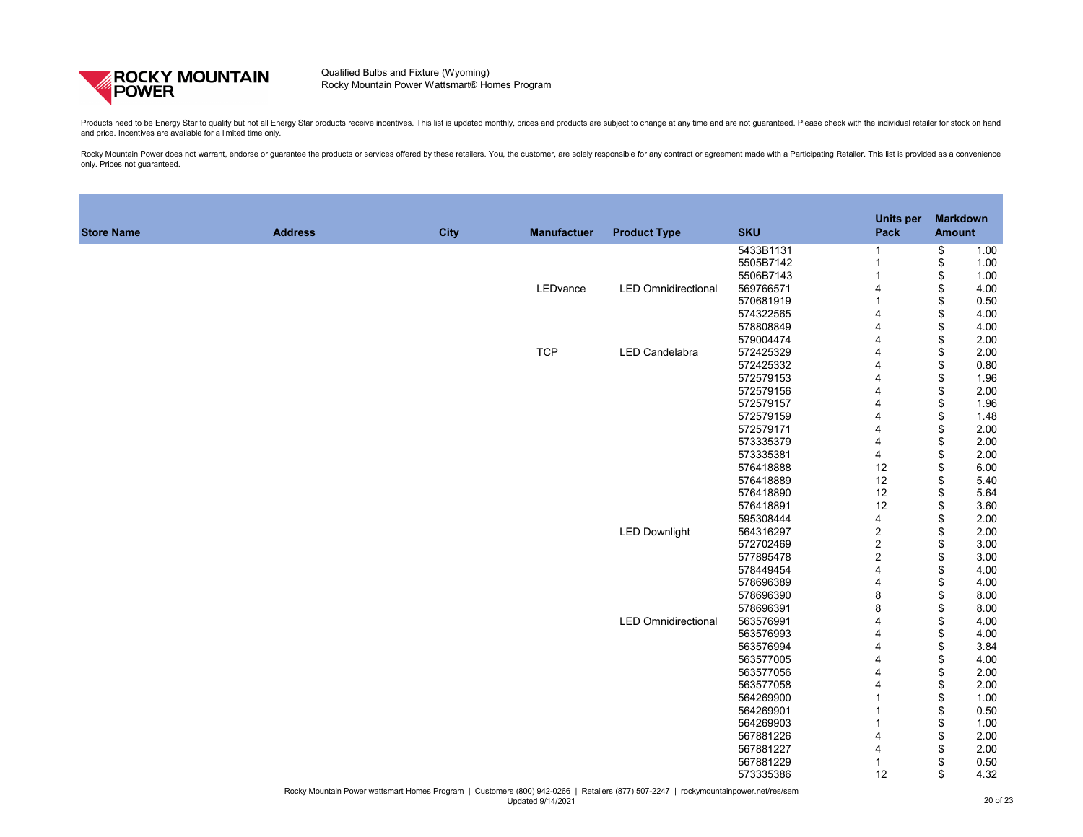

Products need to be Energy Star to qualify but not all Energy Star products receive incentives. This list is updated monthly, prices and products are subject to change at any time and are not guaranteed. Please check with and price. Incentives are available for a limited time only.

| <b>Store Name</b> | <b>Address</b> | <b>City</b> | <b>Manufactuer</b>                                  | <b>Product Type</b>        | <b>SKU</b> | <b>Units per</b><br><b>Pack</b> | <b>Markdown</b><br><b>Amount</b> |      |
|-------------------|----------------|-------------|-----------------------------------------------------|----------------------------|------------|---------------------------------|----------------------------------|------|
|                   |                |             |                                                     |                            | 5433B1131  |                                 | \$                               | 1.00 |
|                   |                |             |                                                     |                            | 5505B7142  |                                 | \$                               | 1.00 |
|                   |                |             |                                                     |                            | 5506B7143  |                                 | \$                               | 1.00 |
|                   |                |             | LEDvance                                            | <b>LED Omnidirectional</b> | 569766571  |                                 | \$                               | 4.00 |
|                   |                |             |                                                     |                            | 570681919  |                                 | \$                               | 0.50 |
|                   |                |             |                                                     |                            | 574322565  | 4                               | \$                               | 4.00 |
|                   |                |             |                                                     |                            | 578808849  | 4                               | \$                               | 4.00 |
|                   |                |             |                                                     |                            | 579004474  | 4                               | \$                               | 2.00 |
|                   |                |             | <b>TCP</b>                                          | <b>LED Candelabra</b>      | 572425329  | 4                               | \$                               | 2.00 |
|                   |                |             |                                                     |                            | 572425332  | 4                               | \$                               | 0.80 |
|                   |                |             |                                                     |                            | 572579153  | 4                               | \$                               | 1.96 |
|                   |                |             |                                                     |                            | 572579156  | 4                               | \$                               | 2.00 |
|                   |                |             |                                                     |                            | 572579157  | 4                               | \$                               | 1.96 |
|                   |                |             |                                                     |                            | 572579159  | 4                               | \$                               | 1.48 |
|                   |                |             |                                                     |                            | 572579171  | 4                               | \$                               | 2.00 |
|                   |                |             |                                                     |                            | 573335379  | 4                               | \$                               | 2.00 |
|                   |                |             |                                                     |                            | 573335381  | 4                               | \$                               | 2.00 |
|                   |                |             |                                                     |                            | 576418888  | 12                              | \$                               | 6.00 |
|                   |                |             |                                                     |                            | 576418889  | 12                              | \$                               | 5.40 |
|                   |                |             |                                                     |                            | 576418890  | 12                              | \$                               | 5.64 |
|                   |                |             |                                                     |                            | 576418891  | 12                              | \$                               | 3.60 |
|                   |                |             |                                                     |                            | 595308444  | 4                               | \$                               | 2.00 |
|                   |                |             |                                                     | <b>LED Downlight</b>       | 564316297  |                                 | \$                               | 2.00 |
|                   |                |             |                                                     |                            | 572702469  | $\frac{2}{2}$                   |                                  | 3.00 |
|                   |                |             |                                                     |                            | 577895478  | $\overline{2}$                  | \$                               | 3.00 |
|                   |                |             |                                                     |                            | 578449454  | 4                               | \$                               | 4.00 |
|                   |                |             |                                                     |                            | 578696389  | 4                               |                                  | 4.00 |
|                   |                |             |                                                     |                            | 578696390  | 8                               | \$                               | 8.00 |
|                   |                |             |                                                     |                            | 578696391  | 8                               | \$                               | 8.00 |
|                   |                |             |                                                     | <b>LED Omnidirectional</b> | 563576991  | 4                               |                                  | 4.00 |
|                   |                |             |                                                     |                            | 563576993  |                                 |                                  | 4.00 |
|                   |                |             |                                                     |                            | 563576994  |                                 |                                  | 3.84 |
|                   |                |             |                                                     |                            | 563577005  |                                 |                                  | 4.00 |
|                   |                |             |                                                     |                            | 563577056  |                                 |                                  | 2.00 |
|                   |                |             |                                                     |                            | 563577058  |                                 |                                  | 2.00 |
|                   |                |             |                                                     |                            | 564269900  |                                 |                                  | 1.00 |
|                   |                |             |                                                     |                            | 564269901  |                                 |                                  | 0.50 |
|                   |                |             |                                                     |                            | 564269903  |                                 |                                  | 1.00 |
|                   |                |             |                                                     |                            | 567881226  |                                 |                                  | 2.00 |
|                   |                |             |                                                     |                            | 567881227  |                                 |                                  | 2.00 |
|                   |                |             |                                                     |                            | 567881229  |                                 |                                  | 0.50 |
|                   |                |             |                                                     |                            | 573335386  | 12                              | \$                               | 4.32 |
|                   |                | o Droarom   | Customers (800) 042 0266   Detailers (977) E07 2247 |                            |            |                                 |                                  |      |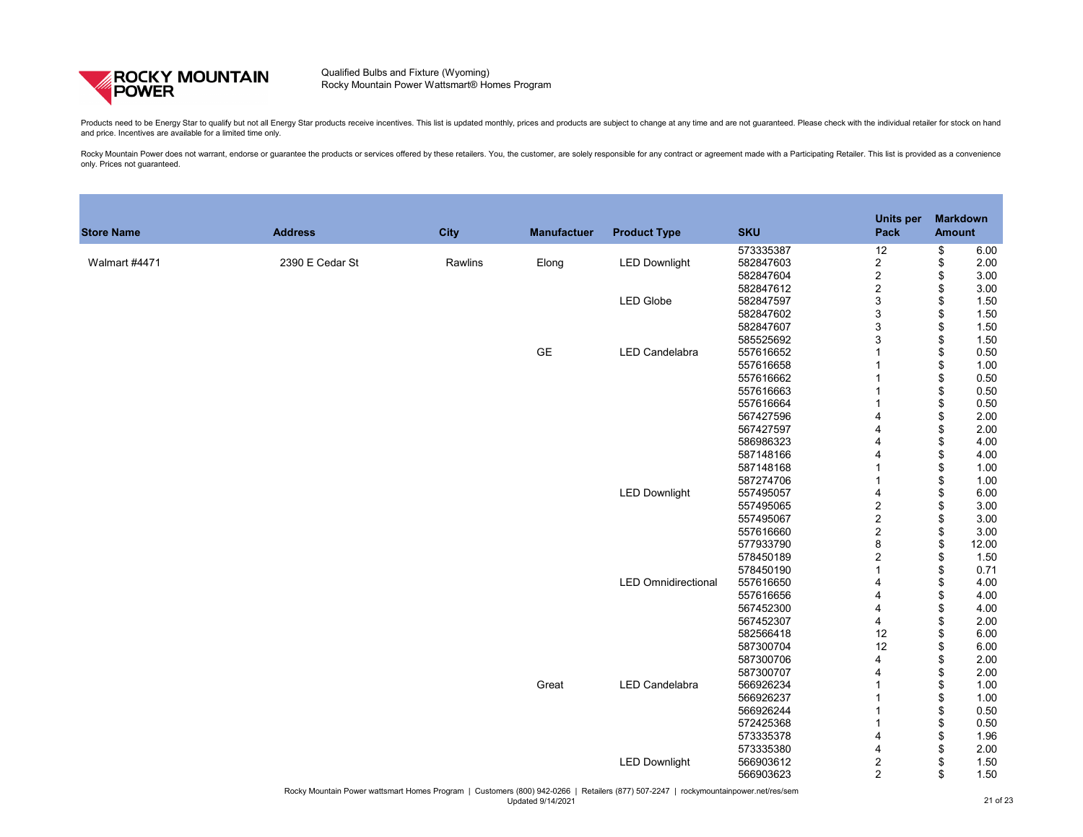

Products need to be Energy Star to qualify but not all Energy Star products receive incentives. This list is updated monthly, prices and products are subject to change at any time and are not guaranteed. Please check with and price. Incentives are available for a limited time only.

| <b>Store Name</b> | <b>Address</b>  | <b>City</b> | <b>Manufactuer</b> | <b>Product Type</b>        | <b>SKU</b> | <b>Units per</b><br><b>Pack</b> | <b>Markdown</b><br><b>Amount</b> |       |
|-------------------|-----------------|-------------|--------------------|----------------------------|------------|---------------------------------|----------------------------------|-------|
|                   |                 |             |                    |                            | 573335387  | 12                              | \$                               | 6.00  |
| Walmart #4471     | 2390 E Cedar St | Rawlins     | Elong              | <b>LED Downlight</b>       | 582847603  | $\overline{c}$                  | \$                               | 2.00  |
|                   |                 |             |                    |                            | 582847604  | $\overline{2}$                  | \$                               | 3.00  |
|                   |                 |             |                    |                            | 582847612  | $\overline{2}$                  |                                  | 3.00  |
|                   |                 |             |                    | <b>LED Globe</b>           | 582847597  | 3                               |                                  | 1.50  |
|                   |                 |             |                    |                            | 582847602  | $\mathfrak{S}$                  |                                  | 1.50  |
|                   |                 |             |                    |                            | 582847607  | $\sqrt{3}$                      |                                  | 1.50  |
|                   |                 |             |                    |                            | 585525692  | $\mathfrak{S}$                  |                                  | 1.50  |
|                   |                 |             | <b>GE</b>          | <b>LED Candelabra</b>      | 557616652  |                                 |                                  | 0.50  |
|                   |                 |             |                    |                            | 557616658  |                                 |                                  | 1.00  |
|                   |                 |             |                    |                            | 557616662  |                                 |                                  | 0.50  |
|                   |                 |             |                    |                            | 557616663  |                                 |                                  | 0.50  |
|                   |                 |             |                    |                            | 557616664  |                                 | \$                               | 0.50  |
|                   |                 |             |                    |                            | 567427596  |                                 |                                  | 2.00  |
|                   |                 |             |                    |                            | 567427597  |                                 |                                  | 2.00  |
|                   |                 |             |                    |                            | 586986323  |                                 |                                  | 4.00  |
|                   |                 |             |                    |                            | 587148166  |                                 | \$                               | 4.00  |
|                   |                 |             |                    |                            | 587148168  |                                 | \$                               | 1.00  |
|                   |                 |             |                    |                            | 587274706  |                                 |                                  | 1.00  |
|                   |                 |             |                    | <b>LED Downlight</b>       | 557495057  |                                 |                                  | 6.00  |
|                   |                 |             |                    |                            | 557495065  | $\overline{c}$                  |                                  | 3.00  |
|                   |                 |             |                    |                            | 557495067  | $\overline{c}$                  |                                  | 3.00  |
|                   |                 |             |                    |                            | 557616660  | $\overline{2}$                  |                                  | 3.00  |
|                   |                 |             |                    |                            | 577933790  | 8                               | \$                               | 12.00 |
|                   |                 |             |                    |                            | 578450189  | $\overline{2}$                  |                                  | 1.50  |
|                   |                 |             |                    |                            | 578450190  |                                 |                                  | 0.71  |
|                   |                 |             |                    | <b>LED Omnidirectional</b> | 557616650  |                                 |                                  | 4.00  |
|                   |                 |             |                    |                            | 557616656  |                                 |                                  | 4.00  |
|                   |                 |             |                    |                            | 567452300  | 4                               | \$                               | 4.00  |
|                   |                 |             |                    |                            | 567452307  | $\overline{4}$                  |                                  | 2.00  |
|                   |                 |             |                    |                            | 582566418  | 12                              |                                  | 6.00  |
|                   |                 |             |                    |                            | 587300704  | 12                              |                                  | 6.00  |
|                   |                 |             |                    |                            | 587300706  |                                 |                                  | 2.00  |
|                   |                 |             |                    |                            | 587300707  |                                 |                                  | 2.00  |
|                   |                 |             | Great              | <b>LED Candelabra</b>      | 566926234  |                                 |                                  | 1.00  |
|                   |                 |             |                    |                            | 566926237  |                                 |                                  | 1.00  |
|                   |                 |             |                    |                            | 566926244  |                                 |                                  | 0.50  |
|                   |                 |             |                    |                            | 572425368  |                                 |                                  | 0.50  |
|                   |                 |             |                    |                            | 573335378  |                                 |                                  | 1.96  |
|                   |                 |             |                    |                            | 573335380  |                                 |                                  | 2.00  |
|                   |                 |             |                    | <b>LED Downlight</b>       | 566903612  | $\overline{c}$                  |                                  | 1.50  |
|                   |                 |             |                    |                            | 566903623  | $\overline{2}$                  |                                  | 1.50  |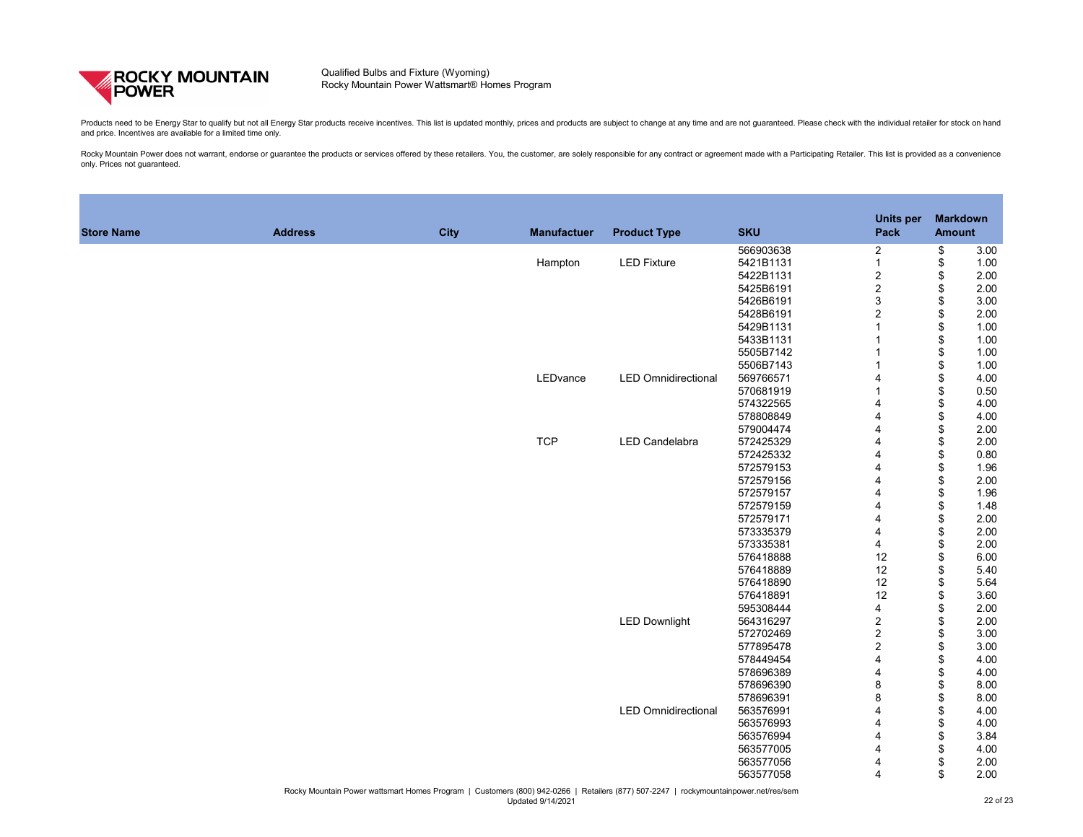

Products need to be Energy Star to qualify but not all Energy Star products receive incentives. This list is updated monthly, prices and products are subject to change at any time and are not guaranteed. Please check with and price. Incentives are available for a limited time only.

| <b>Store Name</b> | <b>Address</b> | <b>City</b> | <b>Manufactuer</b> | <b>Product Type</b>        | <b>SKU</b><br>566903638 | <b>Units per</b><br>Pack | <b>Markdown</b><br><b>Amount</b> |      |
|-------------------|----------------|-------------|--------------------|----------------------------|-------------------------|--------------------------|----------------------------------|------|
|                   |                |             |                    |                            |                         | $\overline{2}$           | \$                               | 3.00 |
|                   |                |             | Hampton            | <b>LED Fixture</b>         | 5421B1131               |                          | \$                               | 1.00 |
|                   |                |             |                    |                            | 5422B1131               | $\overline{2}$           | \$                               | 2.00 |
|                   |                |             |                    |                            | 5425B6191               | $\overline{2}$           | \$                               | 2.00 |
|                   |                |             |                    |                            | 5426B6191               | $\mathfrak{S}$           | \$                               | 3.00 |
|                   |                |             |                    |                            | 5428B6191               | $\overline{2}$           | S                                | 2.00 |
|                   |                |             |                    |                            | 5429B1131               |                          | \$                               | 1.00 |
|                   |                |             |                    |                            | 5433B1131               |                          | \$                               | 1.00 |
|                   |                |             |                    |                            | 5505B7142               |                          | \$                               | 1.00 |
|                   |                |             |                    |                            | 5506B7143               |                          | \$                               | 1.00 |
|                   |                |             | LEDvance           | <b>LED Omnidirectional</b> | 569766571               |                          | \$                               | 4.00 |
|                   |                |             |                    |                            | 570681919               |                          |                                  | 0.50 |
|                   |                |             |                    |                            | 574322565               |                          | \$                               | 4.00 |
|                   |                |             |                    |                            | 578808849               |                          | \$                               | 4.00 |
|                   |                |             |                    |                            | 579004474               |                          | \$                               | 2.00 |
|                   |                |             | <b>TCP</b>         | <b>LED Candelabra</b>      | 572425329               |                          | \$                               | 2.00 |
|                   |                |             |                    |                            | 572425332               |                          | \$                               | 0.80 |
|                   |                |             |                    |                            | 572579153               |                          | \$                               | 1.96 |
|                   |                |             |                    |                            | 572579156               |                          | \$                               | 2.00 |
|                   |                |             |                    |                            | 572579157               |                          | \$                               | 1.96 |
|                   |                |             |                    |                            | 572579159               |                          | \$                               | 1.48 |
|                   |                |             |                    |                            | 572579171               |                          | \$                               | 2.00 |
|                   |                |             |                    |                            | 573335379               | 4                        | \$                               | 2.00 |
|                   |                |             |                    |                            | 573335381               | 4                        |                                  | 2.00 |
|                   |                |             |                    |                            | 576418888               | 12                       |                                  | 6.00 |
|                   |                |             |                    |                            | 576418889               | 12                       |                                  | 5.40 |
|                   |                |             |                    |                            | 576418890               | 12                       |                                  | 5.64 |
|                   |                |             |                    |                            | 576418891               | 12                       | \$                               | 3.60 |
|                   |                |             |                    |                            | 595308444               | 4                        | \$                               | 2.00 |
|                   |                |             |                    | <b>LED Downlight</b>       | 564316297               | $\overline{2}$           | \$                               | 2.00 |
|                   |                |             |                    |                            | 572702469               | $\overline{2}$           | S                                | 3.00 |
|                   |                |             |                    |                            | 577895478               | $\overline{2}$           |                                  | 3.00 |
|                   |                |             |                    |                            | 578449454               |                          | \$                               | 4.00 |
|                   |                |             |                    |                            | 578696389               |                          |                                  | 4.00 |
|                   |                |             |                    |                            | 578696390               | 8                        |                                  | 8.00 |
|                   |                |             |                    |                            | 578696391               | 8                        |                                  | 8.00 |
|                   |                |             |                    | <b>LED Omnidirectional</b> | 563576991               |                          |                                  | 4.00 |
|                   |                |             |                    |                            | 563576993               |                          |                                  | 4.00 |
|                   |                |             |                    |                            | 563576994               |                          |                                  | 3.84 |
|                   |                |             |                    |                            | 563577005               |                          | \$                               | 4.00 |
|                   |                |             |                    |                            | 563577056               | $\overline{4}$           | \$                               | 2.00 |
|                   |                |             |                    |                            | 563577058               | $\overline{4}$           | \$                               | 2.00 |